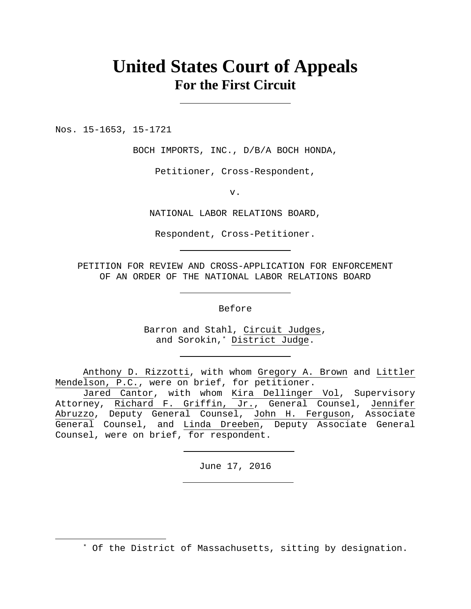# **United States Court of Appeals For the First Circuit**

Nos. 15-1653, 15-1721

 $\overline{a}$ 

BOCH IMPORTS, INC., D/B/A BOCH HONDA,

Petitioner, Cross-Respondent,

v.

NATIONAL LABOR RELATIONS BOARD,

Respondent, Cross-Petitioner.

PETITION FOR REVIEW AND CROSS-APPLICATION FOR ENFORCEMENT OF AN ORDER OF THE NATIONAL LABOR RELATIONS BOARD

Before

Barron and Stahl, Circuit Judges, and Sorokin,\* District Judge.

Anthony D. Rizzotti, with whom Gregory A. Brown and Littler Mendelson, P.C., were on brief, for petitioner.

Jared Cantor, with whom Kira Dellinger Vol, Supervisory Attorney, Richard F. Griffin, Jr., General Counsel, Jennifer Abruzzo, Deputy General Counsel, John H. Ferguson, Associate General Counsel, and Linda Dreeben, Deputy Associate General Counsel, were on brief, for respondent.

June 17, 2016

\* Of the District of Massachusetts, sitting by designation.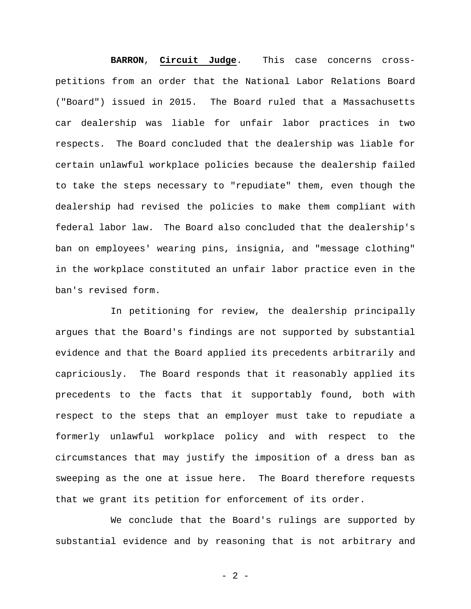**BARRON**, **Circuit Judge**. This case concerns crosspetitions from an order that the National Labor Relations Board ("Board") issued in 2015. The Board ruled that a Massachusetts car dealership was liable for unfair labor practices in two respects. The Board concluded that the dealership was liable for certain unlawful workplace policies because the dealership failed to take the steps necessary to "repudiate" them, even though the dealership had revised the policies to make them compliant with federal labor law. The Board also concluded that the dealership's ban on employees' wearing pins, insignia, and "message clothing" in the workplace constituted an unfair labor practice even in the ban's revised form.

In petitioning for review, the dealership principally argues that the Board's findings are not supported by substantial evidence and that the Board applied its precedents arbitrarily and capriciously. The Board responds that it reasonably applied its precedents to the facts that it supportably found, both with respect to the steps that an employer must take to repudiate a formerly unlawful workplace policy and with respect to the circumstances that may justify the imposition of a dress ban as sweeping as the one at issue here. The Board therefore requests that we grant its petition for enforcement of its order.

We conclude that the Board's rulings are supported by substantial evidence and by reasoning that is not arbitrary and

- 2 -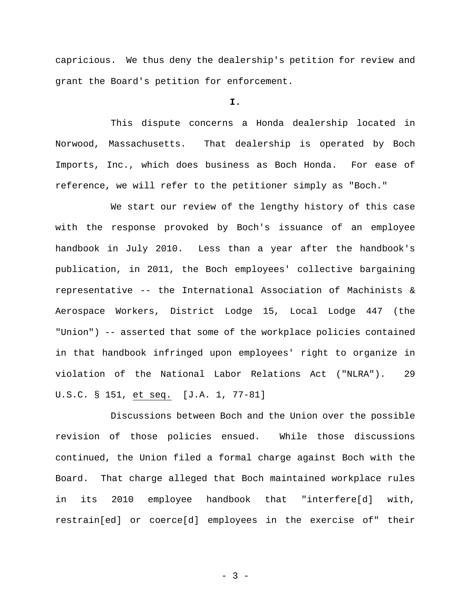capricious. We thus deny the dealership's petition for review and grant the Board's petition for enforcement.

**I.** 

This dispute concerns a Honda dealership located in Norwood, Massachusetts. That dealership is operated by Boch Imports, Inc., which does business as Boch Honda. For ease of reference, we will refer to the petitioner simply as "Boch."

We start our review of the lengthy history of this case with the response provoked by Boch's issuance of an employee handbook in July 2010. Less than a year after the handbook's publication, in 2011, the Boch employees' collective bargaining representative -- the International Association of Machinists & Aerospace Workers, District Lodge 15, Local Lodge 447 (the "Union") -- asserted that some of the workplace policies contained in that handbook infringed upon employees' right to organize in violation of the National Labor Relations Act ("NLRA"). 29 U.S.C. § 151, et seq. [J.A. 1, 77-81]

Discussions between Boch and the Union over the possible revision of those policies ensued. While those discussions continued, the Union filed a formal charge against Boch with the Board. That charge alleged that Boch maintained workplace rules in its 2010 employee handbook that "interfere[d] with, restrain[ed] or coerce[d] employees in the exercise of" their

 $- 3 -$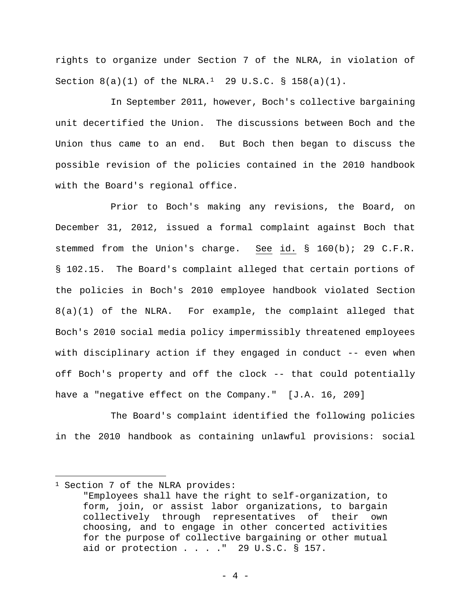rights to organize under Section 7 of the NLRA, in violation of Section  $8(a)(1)$  of the NLRA.<sup>1</sup> 29 U.S.C. § 158(a)(1).

In September 2011, however, Boch's collective bargaining unit decertified the Union. The discussions between Boch and the Union thus came to an end. But Boch then began to discuss the possible revision of the policies contained in the 2010 handbook with the Board's regional office.

Prior to Boch's making any revisions, the Board, on December 31, 2012, issued a formal complaint against Boch that stemmed from the Union's charge. See id. § 160(b); 29 C.F.R. § 102.15. The Board's complaint alleged that certain portions of the policies in Boch's 2010 employee handbook violated Section 8(a)(1) of the NLRA. For example, the complaint alleged that Boch's 2010 social media policy impermissibly threatened employees with disciplinary action if they engaged in conduct -- even when off Boch's property and off the clock -- that could potentially have a "negative effect on the Company." [J.A. 16, 209]

The Board's complaint identified the following policies in the 2010 handbook as containing unlawful provisions: social

<sup>&</sup>lt;sup>1</sup> Section 7 of the NLRA provides:

<sup>&</sup>quot;Employees shall have the right to self-organization, to form, join, or assist labor organizations, to bargain collectively through representatives of their own choosing, and to engage in other concerted activities for the purpose of collective bargaining or other mutual aid or protection . . . ." 29 U.S.C. § 157.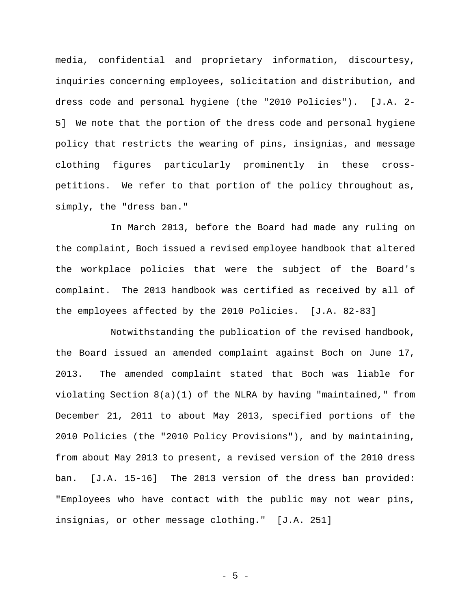media, confidential and proprietary information, discourtesy, inquiries concerning employees, solicitation and distribution, and dress code and personal hygiene (the "2010 Policies"). [J.A. 2- 5] We note that the portion of the dress code and personal hygiene policy that restricts the wearing of pins, insignias, and message clothing figures particularly prominently in these crosspetitions. We refer to that portion of the policy throughout as, simply, the "dress ban."

In March 2013, before the Board had made any ruling on the complaint, Boch issued a revised employee handbook that altered the workplace policies that were the subject of the Board's complaint. The 2013 handbook was certified as received by all of the employees affected by the 2010 Policies. [J.A. 82-83]

Notwithstanding the publication of the revised handbook, the Board issued an amended complaint against Boch on June 17, 2013. The amended complaint stated that Boch was liable for violating Section 8(a)(1) of the NLRA by having "maintained," from December 21, 2011 to about May 2013, specified portions of the 2010 Policies (the "2010 Policy Provisions"), and by maintaining, from about May 2013 to present, a revised version of the 2010 dress ban. [J.A. 15-16] The 2013 version of the dress ban provided: "Employees who have contact with the public may not wear pins, insignias, or other message clothing." [J.A. 251]

- 5 -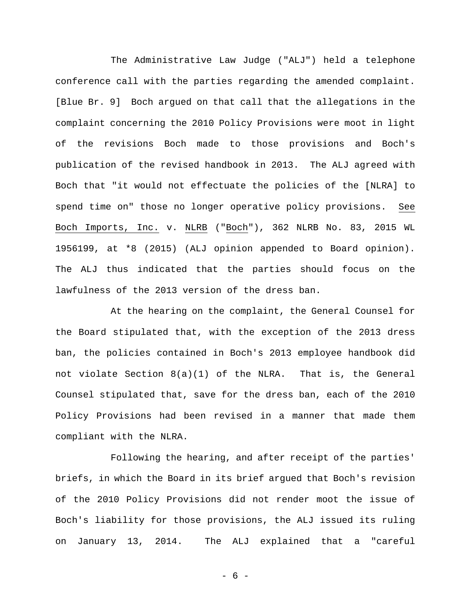The Administrative Law Judge ("ALJ") held a telephone conference call with the parties regarding the amended complaint. [Blue Br. 9] Boch argued on that call that the allegations in the complaint concerning the 2010 Policy Provisions were moot in light of the revisions Boch made to those provisions and Boch's publication of the revised handbook in 2013. The ALJ agreed with Boch that "it would not effectuate the policies of the [NLRA] to spend time on" those no longer operative policy provisions. See Boch Imports, Inc. v. NLRB ("Boch"), 362 NLRB No. 83, 2015 WL 1956199, at \*8 (2015) (ALJ opinion appended to Board opinion). The ALJ thus indicated that the parties should focus on the lawfulness of the 2013 version of the dress ban.

At the hearing on the complaint, the General Counsel for the Board stipulated that, with the exception of the 2013 dress ban, the policies contained in Boch's 2013 employee handbook did not violate Section 8(a)(1) of the NLRA. That is, the General Counsel stipulated that, save for the dress ban, each of the 2010 Policy Provisions had been revised in a manner that made them compliant with the NLRA.

Following the hearing, and after receipt of the parties' briefs, in which the Board in its brief argued that Boch's revision of the 2010 Policy Provisions did not render moot the issue of Boch's liability for those provisions, the ALJ issued its ruling on January 13, 2014. The ALJ explained that a "careful

- 6 -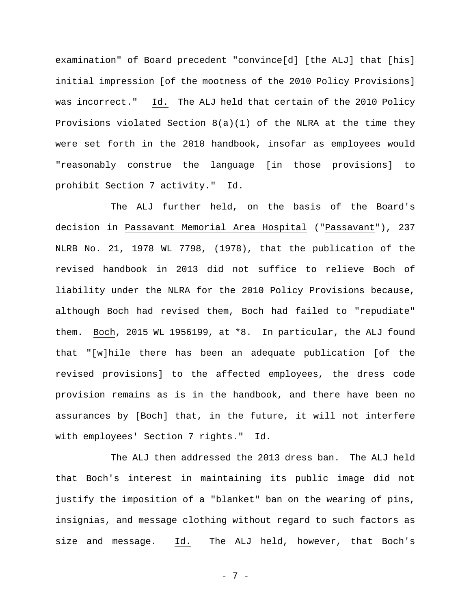examination" of Board precedent "convince[d] [the ALJ] that [his] initial impression [of the mootness of the 2010 Policy Provisions] was incorrect." Id. The ALJ held that certain of the 2010 Policy Provisions violated Section 8(a)(1) of the NLRA at the time they were set forth in the 2010 handbook, insofar as employees would "reasonably construe the language [in those provisions] to prohibit Section 7 activity." Id.

The ALJ further held, on the basis of the Board's decision in Passavant Memorial Area Hospital ("Passavant"), 237 NLRB No. 21, 1978 WL 7798, (1978), that the publication of the revised handbook in 2013 did not suffice to relieve Boch of liability under the NLRA for the 2010 Policy Provisions because, although Boch had revised them, Boch had failed to "repudiate" them. Boch, 2015 WL 1956199, at \*8. In particular, the ALJ found that "[w]hile there has been an adequate publication [of the revised provisions] to the affected employees, the dress code provision remains as is in the handbook, and there have been no assurances by [Boch] that, in the future, it will not interfere with employees' Section 7 rights." Id.

The ALJ then addressed the 2013 dress ban. The ALJ held that Boch's interest in maintaining its public image did not justify the imposition of a "blanket" ban on the wearing of pins, insignias, and message clothing without regard to such factors as size and message. Id. The ALJ held, however, that Boch's

- 7 -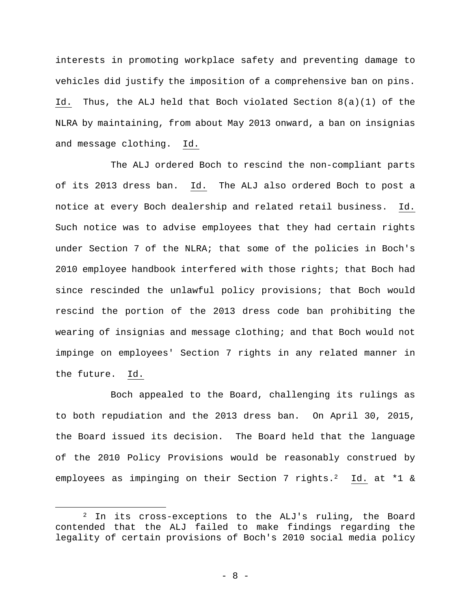interests in promoting workplace safety and preventing damage to vehicles did justify the imposition of a comprehensive ban on pins. Id. Thus, the ALJ held that Boch violated Section 8(a)(1) of the NLRA by maintaining, from about May 2013 onward, a ban on insignias and message clothing. Id.

The ALJ ordered Boch to rescind the non-compliant parts of its 2013 dress ban. Id. The ALJ also ordered Boch to post a notice at every Boch dealership and related retail business. Id. Such notice was to advise employees that they had certain rights under Section 7 of the NLRA; that some of the policies in Boch's 2010 employee handbook interfered with those rights; that Boch had since rescinded the unlawful policy provisions; that Boch would rescind the portion of the 2013 dress code ban prohibiting the wearing of insignias and message clothing; and that Boch would not impinge on employees' Section 7 rights in any related manner in the future. Id.

Boch appealed to the Board, challenging its rulings as to both repudiation and the 2013 dress ban. On April 30, 2015, the Board issued its decision. The Board held that the language of the 2010 Policy Provisions would be reasonably construed by employees as impinging on their Section 7 rights.<sup>2</sup> Id. at \*1 &

<sup>2</sup> In its cross-exceptions to the ALJ's ruling, the Board contended that the ALJ failed to make findings regarding the legality of certain provisions of Boch's 2010 social media policy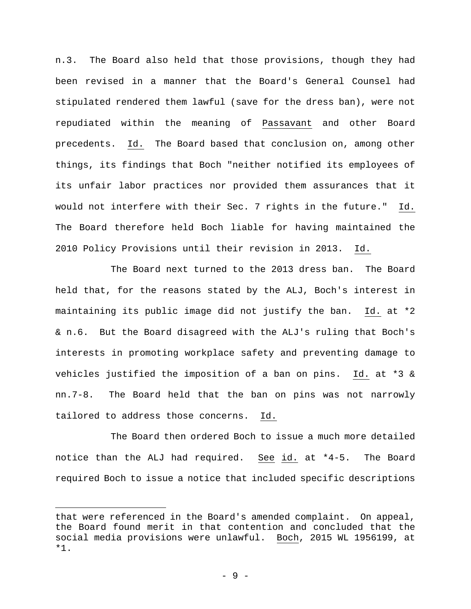n.3. The Board also held that those provisions, though they had been revised in a manner that the Board's General Counsel had stipulated rendered them lawful (save for the dress ban), were not repudiated within the meaning of Passavant and other Board precedents. Id. The Board based that conclusion on, among other things, its findings that Boch "neither notified its employees of its unfair labor practices nor provided them assurances that it would not interfere with their Sec. 7 rights in the future." Id. The Board therefore held Boch liable for having maintained the 2010 Policy Provisions until their revision in 2013. Id.

The Board next turned to the 2013 dress ban. The Board held that, for the reasons stated by the ALJ, Boch's interest in maintaining its public image did not justify the ban. Id. at \*2 & n.6. But the Board disagreed with the ALJ's ruling that Boch's interests in promoting workplace safety and preventing damage to vehicles justified the imposition of a ban on pins. Id. at \*3 & nn.7-8. The Board held that the ban on pins was not narrowly tailored to address those concerns. Id.

The Board then ordered Boch to issue a much more detailed notice than the ALJ had required. See id. at \*4-5. The Board required Boch to issue a notice that included specific descriptions

that were referenced in the Board's amended complaint. On appeal, the Board found merit in that contention and concluded that the social media provisions were unlawful. Boch, 2015 WL 1956199, at \*1.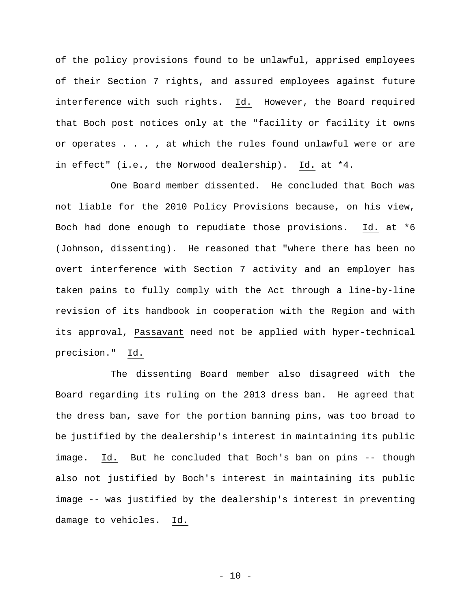of the policy provisions found to be unlawful, apprised employees of their Section 7 rights, and assured employees against future interference with such rights. Id. However, the Board required that Boch post notices only at the "facility or facility it owns or operates . . . , at which the rules found unlawful were or are in effect" (i.e., the Norwood dealership). Id. at \*4.

One Board member dissented. He concluded that Boch was not liable for the 2010 Policy Provisions because, on his view, Boch had done enough to repudiate those provisions. Id. at \*6 (Johnson, dissenting). He reasoned that "where there has been no overt interference with Section 7 activity and an employer has taken pains to fully comply with the Act through a line-by-line revision of its handbook in cooperation with the Region and with its approval, Passavant need not be applied with hyper-technical precision." Id.

The dissenting Board member also disagreed with the Board regarding its ruling on the 2013 dress ban. He agreed that the dress ban, save for the portion banning pins, was too broad to be justified by the dealership's interest in maintaining its public image. Id. But he concluded that Boch's ban on pins -- though also not justified by Boch's interest in maintaining its public image -- was justified by the dealership's interest in preventing damage to vehicles. Id.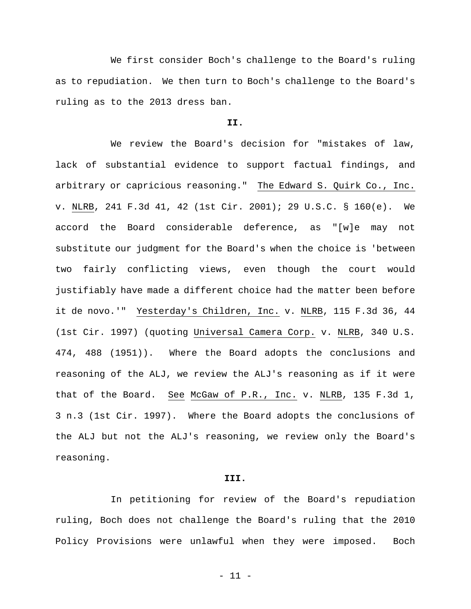We first consider Boch's challenge to the Board's ruling as to repudiation. We then turn to Boch's challenge to the Board's ruling as to the 2013 dress ban.

# **II.**

We review the Board's decision for "mistakes of law, lack of substantial evidence to support factual findings, and arbitrary or capricious reasoning." The Edward S. Quirk Co., Inc. v. NLRB, 241 F.3d 41, 42 (1st Cir. 2001); 29 U.S.C. § 160(e). We accord the Board considerable deference, as "[w]e may not substitute our judgment for the Board's when the choice is 'between two fairly conflicting views, even though the court would justifiably have made a different choice had the matter been before it de novo.'" Yesterday's Children, Inc. v. NLRB, 115 F.3d 36, 44 (1st Cir. 1997) (quoting Universal Camera Corp. v. NLRB, 340 U.S. 474, 488 (1951)). Where the Board adopts the conclusions and reasoning of the ALJ, we review the ALJ's reasoning as if it were that of the Board. See McGaw of P.R., Inc. v. NLRB, 135 F.3d 1, 3 n.3 (1st Cir. 1997). Where the Board adopts the conclusions of the ALJ but not the ALJ's reasoning, we review only the Board's reasoning.

# **III.**

In petitioning for review of the Board's repudiation ruling, Boch does not challenge the Board's ruling that the 2010 Policy Provisions were unlawful when they were imposed. Boch

- 11 -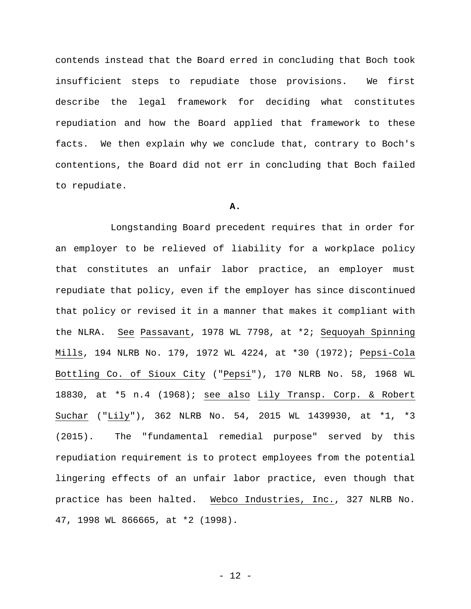contends instead that the Board erred in concluding that Boch took insufficient steps to repudiate those provisions. We first describe the legal framework for deciding what constitutes repudiation and how the Board applied that framework to these facts. We then explain why we conclude that, contrary to Boch's contentions, the Board did not err in concluding that Boch failed to repudiate.

## **A.**

Longstanding Board precedent requires that in order for an employer to be relieved of liability for a workplace policy that constitutes an unfair labor practice, an employer must repudiate that policy, even if the employer has since discontinued that policy or revised it in a manner that makes it compliant with the NLRA. See Passavant, 1978 WL 7798, at \*2; Sequoyah Spinning Mills, 194 NLRB No. 179, 1972 WL 4224, at \*30 (1972); Pepsi-Cola Bottling Co. of Sioux City ("Pepsi"), 170 NLRB No. 58, 1968 WL 18830, at \*5 n.4 (1968); see also Lily Transp. Corp. & Robert Suchar ("Lily"), 362 NLRB No. 54, 2015 WL 1439930, at \*1, \*3 (2015). The "fundamental remedial purpose" served by this repudiation requirement is to protect employees from the potential lingering effects of an unfair labor practice, even though that practice has been halted. Webco Industries, Inc., 327 NLRB No. 47, 1998 WL 866665, at \*2 (1998).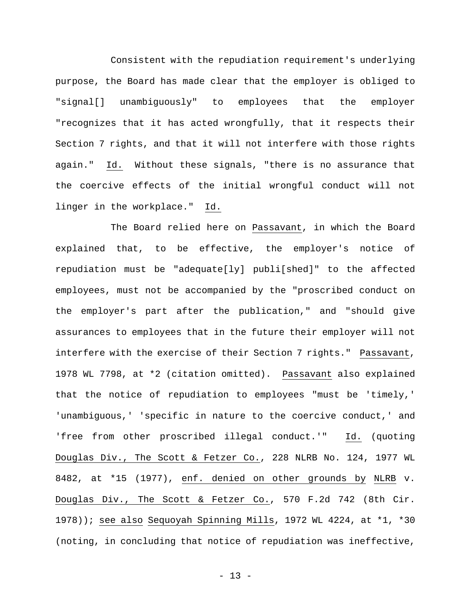Consistent with the repudiation requirement's underlying purpose, the Board has made clear that the employer is obliged to "signal[] unambiguously" to employees that the employer "recognizes that it has acted wrongfully, that it respects their Section 7 rights, and that it will not interfere with those rights again." Id. Without these signals, "there is no assurance that the coercive effects of the initial wrongful conduct will not linger in the workplace." Id.

The Board relied here on Passavant, in which the Board explained that, to be effective, the employer's notice of repudiation must be "adequate[ly] publi[shed]" to the affected employees, must not be accompanied by the "proscribed conduct on the employer's part after the publication," and "should give assurances to employees that in the future their employer will not interfere with the exercise of their Section 7 rights." Passavant, 1978 WL 7798, at \*2 (citation omitted). Passavant also explained that the notice of repudiation to employees "must be 'timely,' 'unambiguous,' 'specific in nature to the coercive conduct,' and 'free from other proscribed illegal conduct.'" Id. (quoting Douglas Div., The Scott & Fetzer Co., 228 NLRB No. 124, 1977 WL 8482, at \*15 (1977), enf. denied on other grounds by NLRB v. Douglas Div., The Scott & Fetzer Co., 570 F.2d 742 (8th Cir. 1978)); see also Sequoyah Spinning Mills, 1972 WL 4224, at \*1, \*30 (noting, in concluding that notice of repudiation was ineffective,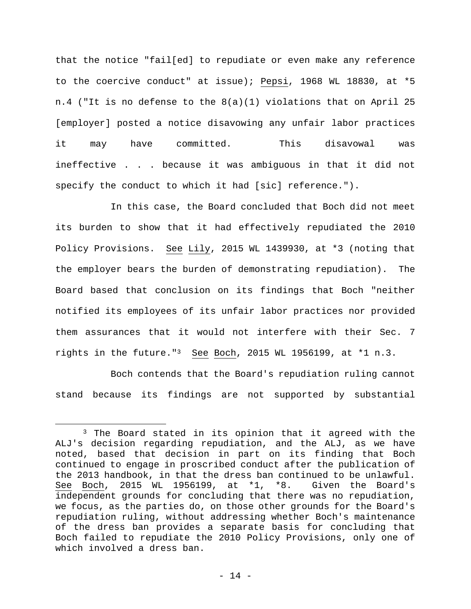that the notice "fail[ed] to repudiate or even make any reference to the coercive conduct" at issue); Pepsi, 1968 WL 18830, at \*5 n.4 ("It is no defense to the 8(a)(1) violations that on April 25 [employer] posted a notice disavowing any unfair labor practices it may have committed. This disavowal was ineffective . . . because it was ambiguous in that it did not specify the conduct to which it had [sic] reference.").

In this case, the Board concluded that Boch did not meet its burden to show that it had effectively repudiated the 2010 Policy Provisions. See Lily, 2015 WL 1439930, at \*3 (noting that the employer bears the burden of demonstrating repudiation). The Board based that conclusion on its findings that Boch "neither notified its employees of its unfair labor practices nor provided them assurances that it would not interfere with their Sec. 7 rights in the future."3 See Boch, 2015 WL 1956199, at \*1 n.3.

Boch contends that the Board's repudiation ruling cannot stand because its findings are not supported by substantial

<sup>&</sup>lt;sup>3</sup> The Board stated in its opinion that it agreed with the ALJ's decision regarding repudiation, and the ALJ, as we have noted, based that decision in part on its finding that Boch continued to engage in proscribed conduct after the publication of the 2013 handbook, in that the dress ban continued to be unlawful. See Boch, 2015 WL 1956199, at \*1, \*8. Given the Board's independent grounds for concluding that there was no repudiation, we focus, as the parties do, on those other grounds for the Board's repudiation ruling, without addressing whether Boch's maintenance of the dress ban provides a separate basis for concluding that Boch failed to repudiate the 2010 Policy Provisions, only one of which involved a dress ban.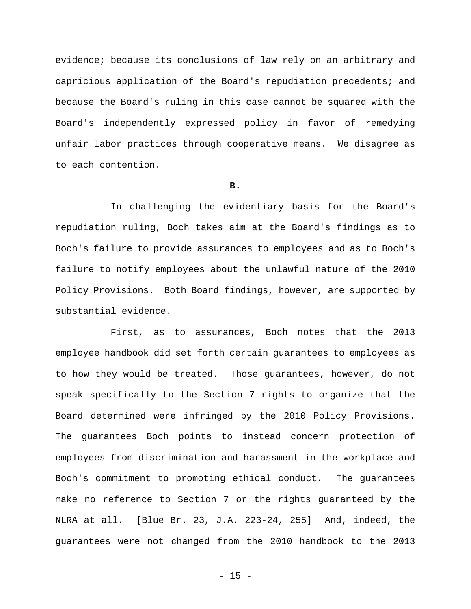evidence; because its conclusions of law rely on an arbitrary and capricious application of the Board's repudiation precedents; and because the Board's ruling in this case cannot be squared with the Board's independently expressed policy in favor of remedying unfair labor practices through cooperative means. We disagree as to each contention.

### **B.**

In challenging the evidentiary basis for the Board's repudiation ruling, Boch takes aim at the Board's findings as to Boch's failure to provide assurances to employees and as to Boch's failure to notify employees about the unlawful nature of the 2010 Policy Provisions. Both Board findings, however, are supported by substantial evidence.

First, as to assurances, Boch notes that the 2013 employee handbook did set forth certain guarantees to employees as to how they would be treated. Those guarantees, however, do not speak specifically to the Section 7 rights to organize that the Board determined were infringed by the 2010 Policy Provisions. The guarantees Boch points to instead concern protection of employees from discrimination and harassment in the workplace and Boch's commitment to promoting ethical conduct. The guarantees make no reference to Section 7 or the rights guaranteed by the NLRA at all. [Blue Br. 23, J.A. 223-24, 255] And, indeed, the guarantees were not changed from the 2010 handbook to the 2013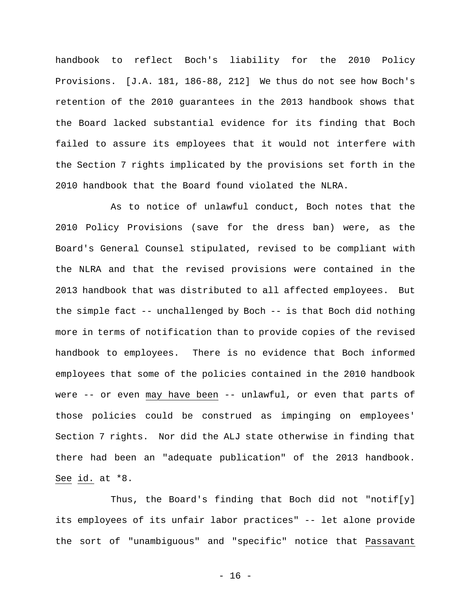handbook to reflect Boch's liability for the 2010 Policy Provisions. [J.A. 181, 186-88, 212] We thus do not see how Boch's retention of the 2010 guarantees in the 2013 handbook shows that the Board lacked substantial evidence for its finding that Boch failed to assure its employees that it would not interfere with the Section 7 rights implicated by the provisions set forth in the 2010 handbook that the Board found violated the NLRA.

As to notice of unlawful conduct, Boch notes that the 2010 Policy Provisions (save for the dress ban) were, as the Board's General Counsel stipulated, revised to be compliant with the NLRA and that the revised provisions were contained in the 2013 handbook that was distributed to all affected employees. But the simple fact -- unchallenged by Boch -- is that Boch did nothing more in terms of notification than to provide copies of the revised handbook to employees. There is no evidence that Boch informed employees that some of the policies contained in the 2010 handbook were -- or even may have been -- unlawful, or even that parts of those policies could be construed as impinging on employees' Section 7 rights. Nor did the ALJ state otherwise in finding that there had been an "adequate publication" of the 2013 handbook. See id. at \*8.

Thus, the Board's finding that Boch did not "notif[y] its employees of its unfair labor practices" -- let alone provide the sort of "unambiguous" and "specific" notice that Passavant

- 16 -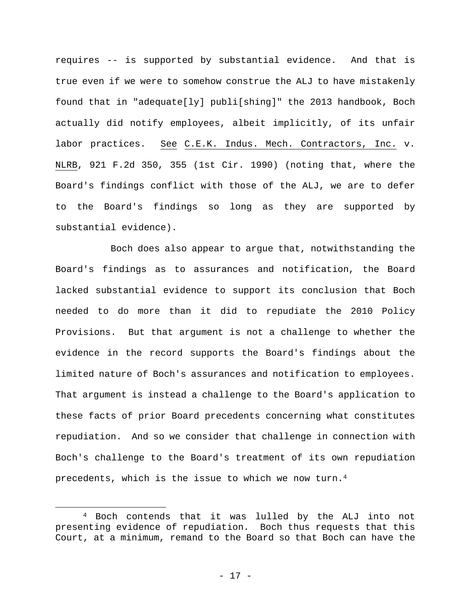requires -- is supported by substantial evidence. And that is true even if we were to somehow construe the ALJ to have mistakenly found that in "adequate[ly] publi[shing]" the 2013 handbook, Boch actually did notify employees, albeit implicitly, of its unfair labor practices. See C.E.K. Indus. Mech. Contractors, Inc. v. NLRB, 921 F.2d 350, 355 (1st Cir. 1990) (noting that, where the Board's findings conflict with those of the ALJ, we are to defer to the Board's findings so long as they are supported by substantial evidence).

Boch does also appear to argue that, notwithstanding the Board's findings as to assurances and notification, the Board lacked substantial evidence to support its conclusion that Boch needed to do more than it did to repudiate the 2010 Policy Provisions. But that argument is not a challenge to whether the evidence in the record supports the Board's findings about the limited nature of Boch's assurances and notification to employees. That argument is instead a challenge to the Board's application to these facts of prior Board precedents concerning what constitutes repudiation. And so we consider that challenge in connection with Boch's challenge to the Board's treatment of its own repudiation precedents, which is the issue to which we now turn.4

<sup>4</sup> Boch contends that it was lulled by the ALJ into not presenting evidence of repudiation. Boch thus requests that this Court, at a minimum, remand to the Board so that Boch can have the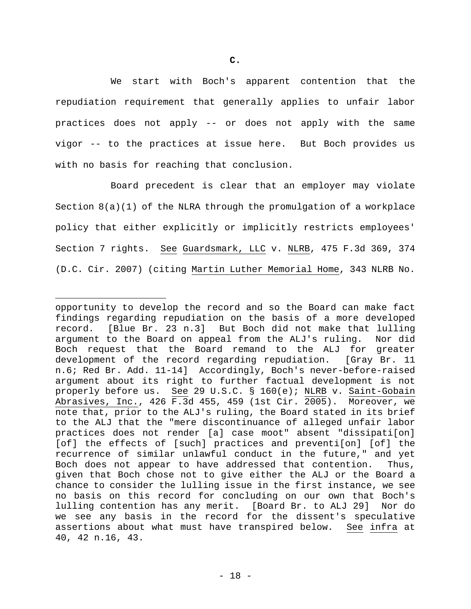We start with Boch's apparent contention that the repudiation requirement that generally applies to unfair labor practices does not apply -- or does not apply with the same vigor -- to the practices at issue here. But Boch provides us with no basis for reaching that conclusion.

Board precedent is clear that an employer may violate Section  $8(a)(1)$  of the NLRA through the promulgation of a workplace policy that either explicitly or implicitly restricts employees' Section 7 rights. See Guardsmark, LLC v. NLRB, 475 F.3d 369, 374 (D.C. Cir. 2007) (citing Martin Luther Memorial Home, 343 NLRB No.

opportunity to develop the record and so the Board can make fact findings regarding repudiation on the basis of a more developed record. [Blue Br. 23 n.3] But Boch did not make that lulling argument to the Board on appeal from the ALJ's ruling. Nor did Boch request that the Board remand to the ALJ for greater development of the record regarding repudiation. [Gray Br. 11 n.6; Red Br. Add. 11-14] Accordingly, Boch's never-before-raised argument about its right to further factual development is not properly before us. See 29 U.S.C. § 160(e); NLRB v. Saint-Gobain Abrasives, Inc., 426 F.3d 455, 459 (1st Cir. 2005). Moreover, we note that, prior to the ALJ's ruling, the Board stated in its brief to the ALJ that the "mere discontinuance of alleged unfair labor practices does not render [a] case moot" absent "dissipati[on] [of] the effects of [such] practices and preventi[on] [of] the recurrence of similar unlawful conduct in the future," and yet Boch does not appear to have addressed that contention. Thus, given that Boch chose not to give either the ALJ or the Board a chance to consider the lulling issue in the first instance, we see no basis on this record for concluding on our own that Boch's lulling contention has any merit. [Board Br. to ALJ 29] Nor do we see any basis in the record for the dissent's speculative assertions about what must have transpired below. See infra at 40, 42 n.16, 43.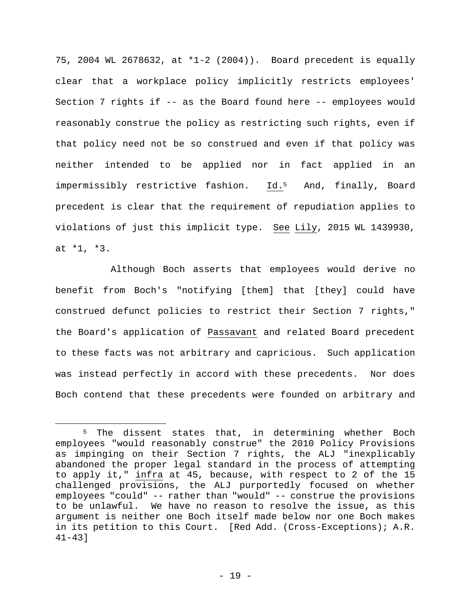75, 2004 WL 2678632, at \*1-2 (2004)). Board precedent is equally clear that a workplace policy implicitly restricts employees' Section 7 rights if -- as the Board found here -- employees would reasonably construe the policy as restricting such rights, even if that policy need not be so construed and even if that policy was neither intended to be applied nor in fact applied in an impermissibly restrictive fashion. Id.5 And, finally, Board precedent is clear that the requirement of repudiation applies to violations of just this implicit type. See Lily, 2015 WL 1439930, at \*1, \*3.

Although Boch asserts that employees would derive no benefit from Boch's "notifying [them] that [they] could have construed defunct policies to restrict their Section 7 rights," the Board's application of Passavant and related Board precedent to these facts was not arbitrary and capricious. Such application was instead perfectly in accord with these precedents. Nor does Boch contend that these precedents were founded on arbitrary and

<sup>&</sup>lt;sup>5</sup> The dissent states that, in determining whether Boch employees "would reasonably construe" the 2010 Policy Provisions as impinging on their Section 7 rights, the ALJ "inexplicably abandoned the proper legal standard in the process of attempting to apply it," infra at 45, because, with respect to 2 of the 15 challenged provisions, the ALJ purportedly focused on whether employees "could" -- rather than "would" -- construe the provisions to be unlawful. We have no reason to resolve the issue, as this argument is neither one Boch itself made below nor one Boch makes in its petition to this Court. [Red Add. (Cross-Exceptions); A.R. 41-43]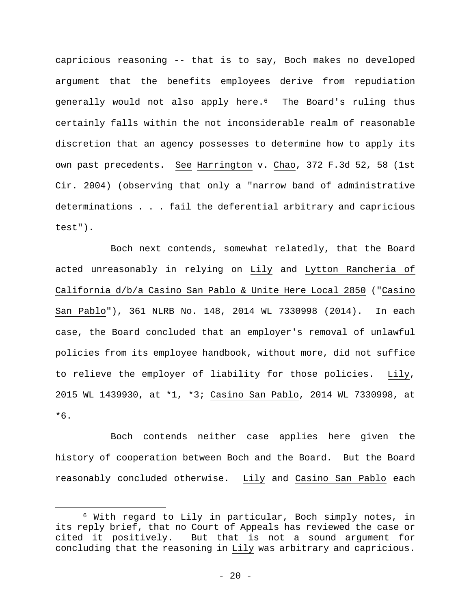capricious reasoning -- that is to say, Boch makes no developed argument that the benefits employees derive from repudiation generally would not also apply here.<sup>6</sup> The Board's ruling thus certainly falls within the not inconsiderable realm of reasonable discretion that an agency possesses to determine how to apply its own past precedents. See Harrington v. Chao, 372 F.3d 52, 58 (1st Cir. 2004) (observing that only a "narrow band of administrative determinations . . . fail the deferential arbitrary and capricious test").

Boch next contends, somewhat relatedly, that the Board acted unreasonably in relying on Lily and Lytton Rancheria of California d/b/a Casino San Pablo & Unite Here Local 2850 ("Casino San Pablo"), 361 NLRB No. 148, 2014 WL 7330998 (2014). In each case, the Board concluded that an employer's removal of unlawful policies from its employee handbook, without more, did not suffice to relieve the employer of liability for those policies. Lily, 2015 WL 1439930, at \*1, \*3; Casino San Pablo, 2014 WL 7330998, at \*6.

Boch contends neither case applies here given the history of cooperation between Boch and the Board. But the Board reasonably concluded otherwise. Lily and Casino San Pablo each

<sup>6</sup> With regard to Lily in particular, Boch simply notes, in its reply brief, that no Court of Appeals has reviewed the case or cited it positively. But that is not a sound argument for concluding that the reasoning in Lily was arbitrary and capricious.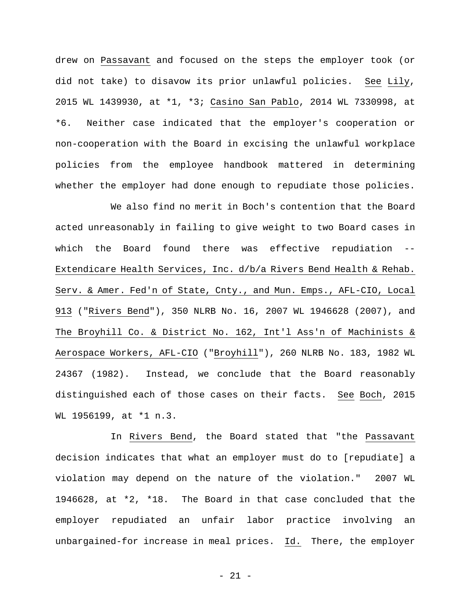drew on Passavant and focused on the steps the employer took (or did not take) to disavow its prior unlawful policies. See Lily, 2015 WL 1439930, at \*1, \*3; Casino San Pablo, 2014 WL 7330998, at \*6. Neither case indicated that the employer's cooperation or non-cooperation with the Board in excising the unlawful workplace policies from the employee handbook mattered in determining whether the employer had done enough to repudiate those policies.

We also find no merit in Boch's contention that the Board acted unreasonably in failing to give weight to two Board cases in which the Board found there was effective repudiation -- Extendicare Health Services, Inc. d/b/a Rivers Bend Health & Rehab. Serv. & Amer. Fed'n of State, Cnty., and Mun. Emps., AFL-CIO, Local 913 ("Rivers Bend"), 350 NLRB No. 16, 2007 WL 1946628 (2007), and The Broyhill Co. & District No. 162, Int'l Ass'n of Machinists & Aerospace Workers, AFL-CIO ("Broyhill"), 260 NLRB No. 183, 1982 WL 24367 (1982). Instead, we conclude that the Board reasonably distinguished each of those cases on their facts. See Boch, 2015 WL 1956199, at \*1 n.3.

In Rivers Bend, the Board stated that "the Passavant decision indicates that what an employer must do to [repudiate] a violation may depend on the nature of the violation." 2007 WL 1946628, at \*2, \*18. The Board in that case concluded that the employer repudiated an unfair labor practice involving an unbargained-for increase in meal prices. Id. There, the employer

- 21 -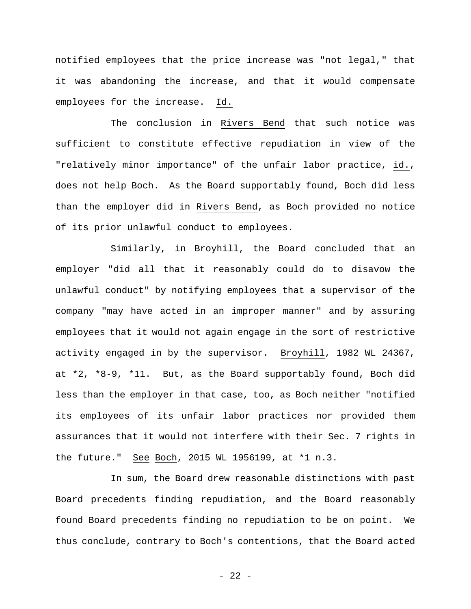notified employees that the price increase was "not legal," that it was abandoning the increase, and that it would compensate employees for the increase. Id.

The conclusion in Rivers Bend that such notice was sufficient to constitute effective repudiation in view of the "relatively minor importance" of the unfair labor practice, id., does not help Boch. As the Board supportably found, Boch did less than the employer did in Rivers Bend, as Boch provided no notice of its prior unlawful conduct to employees.

Similarly, in Broyhill, the Board concluded that an employer "did all that it reasonably could do to disavow the unlawful conduct" by notifying employees that a supervisor of the company "may have acted in an improper manner" and by assuring employees that it would not again engage in the sort of restrictive activity engaged in by the supervisor. Broyhill, 1982 WL 24367, at \*2, \*8-9, \*11. But, as the Board supportably found, Boch did less than the employer in that case, too, as Boch neither "notified its employees of its unfair labor practices nor provided them assurances that it would not interfere with their Sec. 7 rights in the future." See Boch, 2015 WL 1956199, at \*1 n.3.

In sum, the Board drew reasonable distinctions with past Board precedents finding repudiation, and the Board reasonably found Board precedents finding no repudiation to be on point. We thus conclude, contrary to Boch's contentions, that the Board acted

- 22 -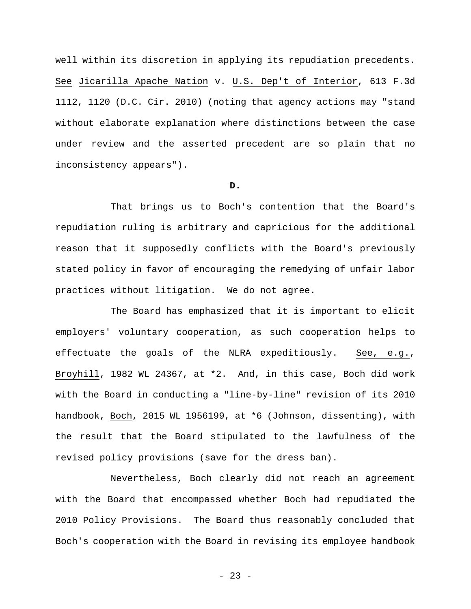well within its discretion in applying its repudiation precedents. See Jicarilla Apache Nation v. U.S. Dep't of Interior, 613 F.3d 1112, 1120 (D.C. Cir. 2010) (noting that agency actions may "stand without elaborate explanation where distinctions between the case under review and the asserted precedent are so plain that no inconsistency appears").

# **D.**

That brings us to Boch's contention that the Board's repudiation ruling is arbitrary and capricious for the additional reason that it supposedly conflicts with the Board's previously stated policy in favor of encouraging the remedying of unfair labor practices without litigation. We do not agree.

The Board has emphasized that it is important to elicit employers' voluntary cooperation, as such cooperation helps to effectuate the goals of the NLRA expeditiously. See, e.g., Broyhill, 1982 WL 24367, at \*2. And, in this case, Boch did work with the Board in conducting a "line-by-line" revision of its 2010 handbook, Boch, 2015 WL 1956199, at \*6 (Johnson, dissenting), with the result that the Board stipulated to the lawfulness of the revised policy provisions (save for the dress ban).

Nevertheless, Boch clearly did not reach an agreement with the Board that encompassed whether Boch had repudiated the 2010 Policy Provisions. The Board thus reasonably concluded that Boch's cooperation with the Board in revising its employee handbook

- 23 -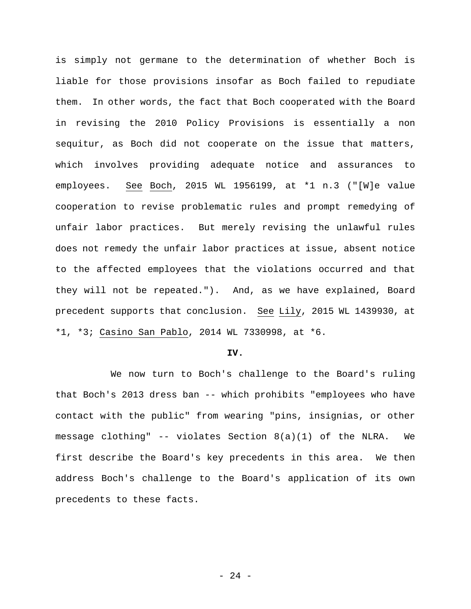is simply not germane to the determination of whether Boch is liable for those provisions insofar as Boch failed to repudiate them. In other words, the fact that Boch cooperated with the Board in revising the 2010 Policy Provisions is essentially a non sequitur, as Boch did not cooperate on the issue that matters, which involves providing adequate notice and assurances to employees. See Boch, 2015 WL 1956199, at \*1 n.3 ("[W]e value cooperation to revise problematic rules and prompt remedying of unfair labor practices. But merely revising the unlawful rules does not remedy the unfair labor practices at issue, absent notice to the affected employees that the violations occurred and that they will not be repeated."). And, as we have explained, Board precedent supports that conclusion. See Lily, 2015 WL 1439930, at \*1, \*3; Casino San Pablo, 2014 WL 7330998, at \*6.

#### **IV.**

We now turn to Boch's challenge to the Board's ruling that Boch's 2013 dress ban -- which prohibits "employees who have contact with the public" from wearing "pins, insignias, or other message clothing" -- violates Section 8(a)(1) of the NLRA. We first describe the Board's key precedents in this area. We then address Boch's challenge to the Board's application of its own precedents to these facts.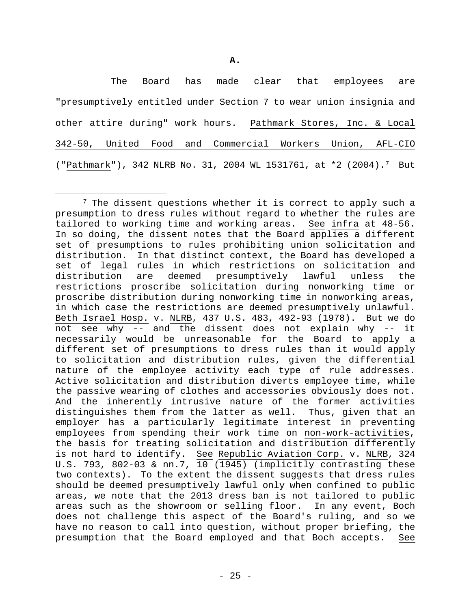**A.** 

The Board has made clear that employees are "presumptively entitled under Section 7 to wear union insignia and other attire during" work hours. Pathmark Stores, Inc. & Local 342-50, United Food and Commercial Workers Union, AFL-CIO ("Pathmark"), 342 NLRB No. 31, 2004 WL 1531761, at \*2 (2004).7 But

<sup>&</sup>lt;sup>7</sup> The dissent questions whether it is correct to apply such a presumption to dress rules without regard to whether the rules are tailored to working time and working areas. See infra at 48-56. In so doing, the dissent notes that the Board applies a different set of presumptions to rules prohibiting union solicitation and distribution. In that distinct context, the Board has developed a set of legal rules in which restrictions on solicitation and distribution are deemed presumptively lawful unless the restrictions proscribe solicitation during nonworking time or proscribe distribution during nonworking time in nonworking areas, in which case the restrictions are deemed presumptively unlawful. Beth Israel Hosp. v. NLRB, 437 U.S. 483, 492-93 (1978). But we do not see why -- and the dissent does not explain why -- it necessarily would be unreasonable for the Board to apply a different set of presumptions to dress rules than it would apply to solicitation and distribution rules, given the differential nature of the employee activity each type of rule addresses. Active solicitation and distribution diverts employee time, while the passive wearing of clothes and accessories obviously does not. And the inherently intrusive nature of the former activities distinguishes them from the latter as well. Thus, given that an employer has a particularly legitimate interest in preventing employees from spending their work time on non-work-activities, the basis for treating solicitation and distribution differently is not hard to identify. See Republic Aviation Corp. v. NLRB, 324 U.S. 793, 802-03 & nn.7, 10 (1945) (implicitly contrasting these two contexts). To the extent the dissent suggests that dress rules should be deemed presumptively lawful only when confined to public areas, we note that the 2013 dress ban is not tailored to public areas such as the showroom or selling floor. In any event, Boch does not challenge this aspect of the Board's ruling, and so we have no reason to call into question, without proper briefing, the presumption that the Board employed and that Boch accepts. See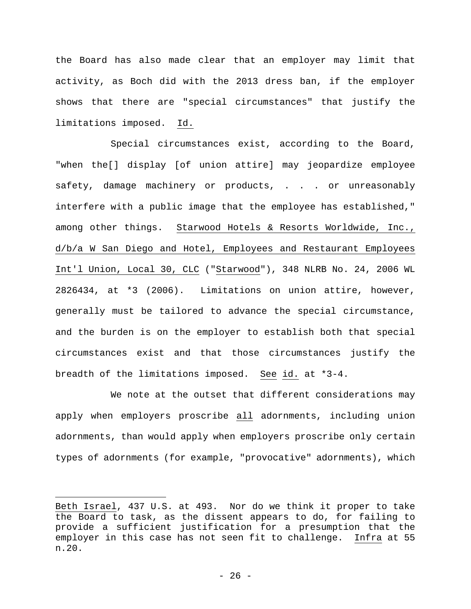the Board has also made clear that an employer may limit that activity, as Boch did with the 2013 dress ban, if the employer shows that there are "special circumstances" that justify the limitations imposed. Id.

Special circumstances exist, according to the Board, "when the[] display [of union attire] may jeopardize employee safety, damage machinery or products, . . . or unreasonably interfere with a public image that the employee has established," among other things. Starwood Hotels & Resorts Worldwide, Inc., d/b/a W San Diego and Hotel, Employees and Restaurant Employees Int'l Union, Local 30, CLC ("Starwood"), 348 NLRB No. 24, 2006 WL 2826434, at \*3 (2006). Limitations on union attire, however, generally must be tailored to advance the special circumstance, and the burden is on the employer to establish both that special circumstances exist and that those circumstances justify the breadth of the limitations imposed. See id. at \*3-4.

We note at the outset that different considerations may apply when employers proscribe all adornments, including union adornments, than would apply when employers proscribe only certain types of adornments (for example, "provocative" adornments), which

Beth Israel, 437 U.S. at 493. Nor do we think it proper to take the Board to task, as the dissent appears to do, for failing to provide a sufficient justification for a presumption that the employer in this case has not seen fit to challenge. Infra at 55 n.20.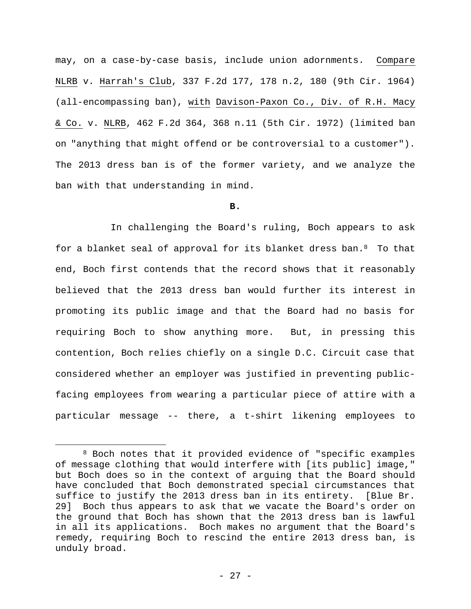may, on a case-by-case basis, include union adornments. Compare NLRB v. Harrah's Club, 337 F.2d 177, 178 n.2, 180 (9th Cir. 1964) (all-encompassing ban), with Davison-Paxon Co., Div. of R.H. Macy & Co. v. NLRB, 462 F.2d 364, 368 n.11 (5th Cir. 1972) (limited ban on "anything that might offend or be controversial to a customer"). The 2013 dress ban is of the former variety, and we analyze the ban with that understanding in mind.

## **B.**

In challenging the Board's ruling, Boch appears to ask for a blanket seal of approval for its blanket dress ban.8 To that end, Boch first contends that the record shows that it reasonably believed that the 2013 dress ban would further its interest in promoting its public image and that the Board had no basis for requiring Boch to show anything more. But, in pressing this contention, Boch relies chiefly on a single D.C. Circuit case that considered whether an employer was justified in preventing publicfacing employees from wearing a particular piece of attire with a particular message -- there, a t-shirt likening employees to

<sup>8</sup> Boch notes that it provided evidence of "specific examples of message clothing that would interfere with [its public] image," but Boch does so in the context of arguing that the Board should have concluded that Boch demonstrated special circumstances that suffice to justify the 2013 dress ban in its entirety. [Blue Br. 29] Boch thus appears to ask that we vacate the Board's order on the ground that Boch has shown that the 2013 dress ban is lawful in all its applications. Boch makes no argument that the Board's remedy, requiring Boch to rescind the entire 2013 dress ban, is unduly broad.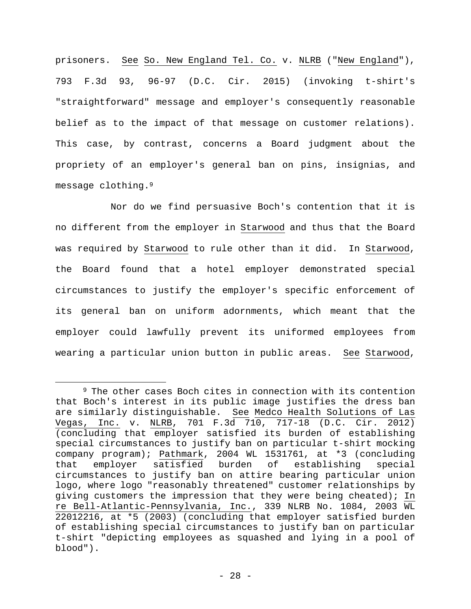prisoners. See So. New England Tel. Co. v. NLRB ("New England"), 793 F.3d 93, 96-97 (D.C. Cir. 2015) (invoking t-shirt's "straightforward" message and employer's consequently reasonable belief as to the impact of that message on customer relations). This case, by contrast, concerns a Board judgment about the propriety of an employer's general ban on pins, insignias, and message clothing.9

Nor do we find persuasive Boch's contention that it is no different from the employer in Starwood and thus that the Board was required by Starwood to rule other than it did. In Starwood, the Board found that a hotel employer demonstrated special circumstances to justify the employer's specific enforcement of its general ban on uniform adornments, which meant that the employer could lawfully prevent its uniformed employees from wearing a particular union button in public areas. See Starwood,

<sup>9</sup> The other cases Boch cites in connection with its contention that Boch's interest in its public image justifies the dress ban are similarly distinguishable. See Medco Health Solutions of Las Vegas, Inc. v. NLRB, 701 F.3d 710, 717-18 (D.C. Cir. 2012) (concluding that employer satisfied its burden of establishing special circumstances to justify ban on particular t-shirt mocking company program); Pathmark, 2004 WL 1531761, at \*3 (concluding that employer satisfied burden of establishing special circumstances to justify ban on attire bearing particular union logo, where logo "reasonably threatened" customer relationships by giving customers the impression that they were being cheated); In re Bell-Atlantic-Pennsylvania, Inc., 339 NLRB No. 1084, 2003 WL 22012216, at \*5 (2003) (concluding that employer satisfied burden of establishing special circumstances to justify ban on particular t-shirt "depicting employees as squashed and lying in a pool of blood").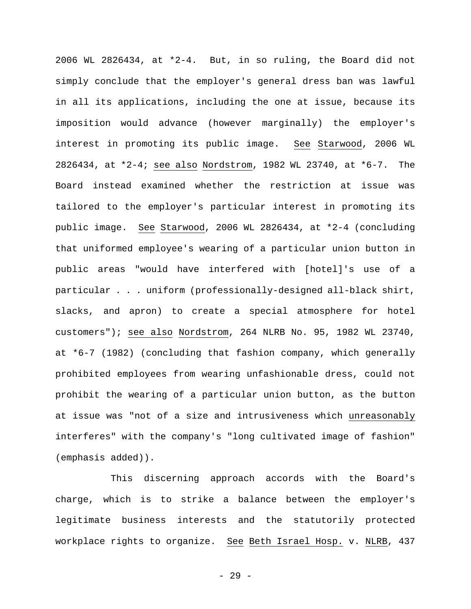2006 WL 2826434, at \*2-4. But, in so ruling, the Board did not simply conclude that the employer's general dress ban was lawful in all its applications, including the one at issue, because its imposition would advance (however marginally) the employer's interest in promoting its public image. See Starwood, 2006 WL 2826434, at \*2-4; see also Nordstrom, 1982 WL 23740, at \*6-7. The Board instead examined whether the restriction at issue was tailored to the employer's particular interest in promoting its public image. See Starwood, 2006 WL 2826434, at \*2-4 (concluding that uniformed employee's wearing of a particular union button in public areas "would have interfered with [hotel]'s use of a particular . . . uniform (professionally-designed all-black shirt, slacks, and apron) to create a special atmosphere for hotel customers"); see also Nordstrom, 264 NLRB No. 95, 1982 WL 23740, at \*6-7 (1982) (concluding that fashion company, which generally prohibited employees from wearing unfashionable dress, could not prohibit the wearing of a particular union button, as the button at issue was "not of a size and intrusiveness which unreasonably interferes" with the company's "long cultivated image of fashion" (emphasis added)).

This discerning approach accords with the Board's charge, which is to strike a balance between the employer's legitimate business interests and the statutorily protected workplace rights to organize. See Beth Israel Hosp. v. NLRB, 437

- 29 -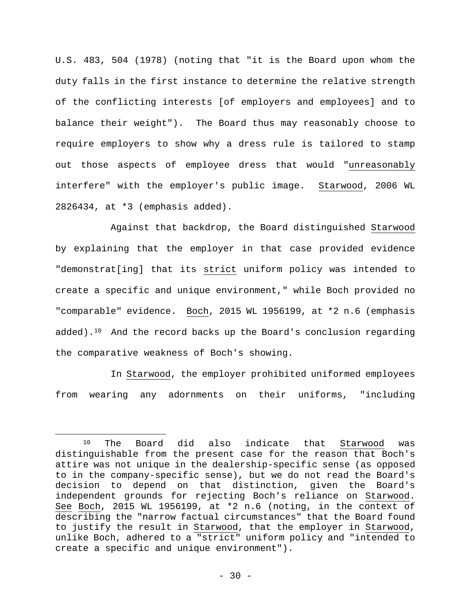U.S. 483, 504 (1978) (noting that "it is the Board upon whom the duty falls in the first instance to determine the relative strength of the conflicting interests [of employers and employees] and to balance their weight"). The Board thus may reasonably choose to require employers to show why a dress rule is tailored to stamp out those aspects of employee dress that would "unreasonably interfere" with the employer's public image. Starwood, 2006 WL 2826434, at \*3 (emphasis added).

Against that backdrop, the Board distinguished Starwood by explaining that the employer in that case provided evidence "demonstrat[ing] that its strict uniform policy was intended to create a specific and unique environment," while Boch provided no "comparable" evidence. Boch, 2015 WL 1956199, at \*2 n.6 (emphasis added).10 And the record backs up the Board's conclusion regarding the comparative weakness of Boch's showing.

In Starwood, the employer prohibited uniformed employees from wearing any adornments on their uniforms, "including

<sup>10</sup> The Board did also indicate that Starwood was distinguishable from the present case for the reason that Boch's attire was not unique in the dealership-specific sense (as opposed to in the company-specific sense), but we do not read the Board's decision to depend on that distinction, given the Board's independent grounds for rejecting Boch's reliance on Starwood. See Boch, 2015 WL 1956199, at \*2 n.6 (noting, in the context of describing the "narrow factual circumstances" that the Board found to justify the result in Starwood, that the employer in Starwood, unlike Boch, adhered to a "strict" uniform policy and "intended to create a specific and unique environment").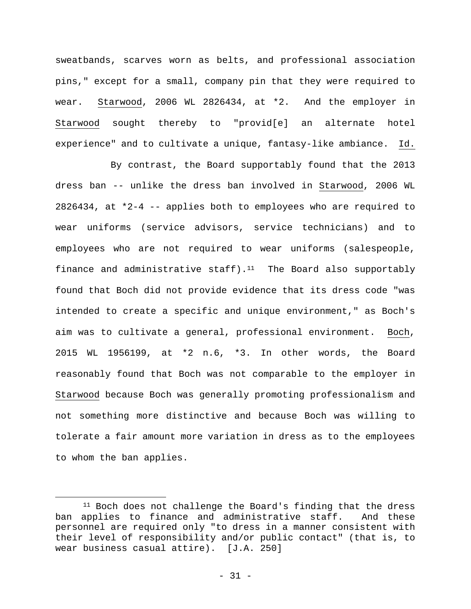sweatbands, scarves worn as belts, and professional association pins," except for a small, company pin that they were required to wear. Starwood, 2006 WL 2826434, at \*2. And the employer in Starwood sought thereby to "provid[e] an alternate hotel experience" and to cultivate a unique, fantasy-like ambiance. Id.

By contrast, the Board supportably found that the 2013 dress ban -- unlike the dress ban involved in Starwood, 2006 WL  $2826434$ , at  $*2-4$  -- applies both to employees who are required to wear uniforms (service advisors, service technicians) and to employees who are not required to wear uniforms (salespeople, finance and administrative staff).<sup>11</sup> The Board also supportably found that Boch did not provide evidence that its dress code "was intended to create a specific and unique environment," as Boch's aim was to cultivate a general, professional environment. Boch, 2015 WL 1956199, at \*2 n.6, \*3. In other words, the Board reasonably found that Boch was not comparable to the employer in Starwood because Boch was generally promoting professionalism and not something more distinctive and because Boch was willing to tolerate a fair amount more variation in dress as to the employees to whom the ban applies.

<sup>&</sup>lt;sup>11</sup> Boch does not challenge the Board's finding that the dress ban applies to finance and administrative staff. And these personnel are required only "to dress in a manner consistent with their level of responsibility and/or public contact" (that is, to wear business casual attire). [J.A. 250]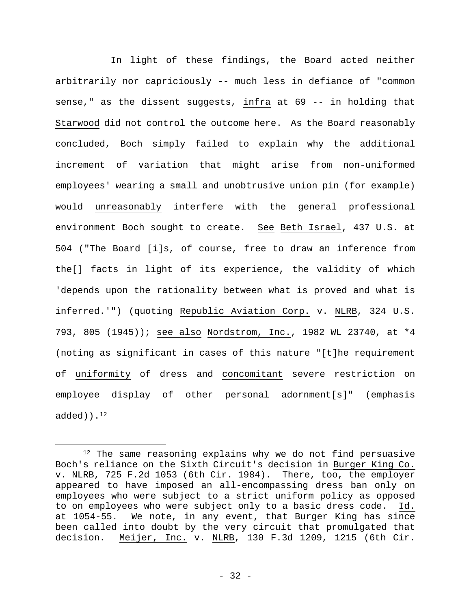In light of these findings, the Board acted neither arbitrarily nor capriciously -- much less in defiance of "common sense," as the dissent suggests, infra at 69 -- in holding that Starwood did not control the outcome here. As the Board reasonably concluded, Boch simply failed to explain why the additional increment of variation that might arise from non-uniformed employees' wearing a small and unobtrusive union pin (for example) would unreasonably interfere with the general professional environment Boch sought to create. See Beth Israel, 437 U.S. at 504 ("The Board [i]s, of course, free to draw an inference from the[] facts in light of its experience, the validity of which 'depends upon the rationality between what is proved and what is inferred.'") (quoting Republic Aviation Corp. v. NLRB, 324 U.S. 793, 805 (1945)); see also Nordstrom, Inc., 1982 WL 23740, at \*4 (noting as significant in cases of this nature "[t]he requirement of uniformity of dress and concomitant severe restriction on employee display of other personal adornment[s]" (emphasis  $added)$ .<sup>12</sup>

<sup>&</sup>lt;sup>12</sup> The same reasoning explains why we do not find persuasive Boch's reliance on the Sixth Circuit's decision in Burger King Co. v. NLRB, 725 F.2d 1053 (6th Cir. 1984). There, too, the employer appeared to have imposed an all-encompassing dress ban only on employees who were subject to a strict uniform policy as opposed to on employees who were subject only to a basic dress code. Id. at 1054-55. We note, in any event, that Burger King has since been called into doubt by the very circuit that promulgated that decision. Meijer, Inc. v. NLRB, 130 F.3d 1209, 1215 (6th Cir.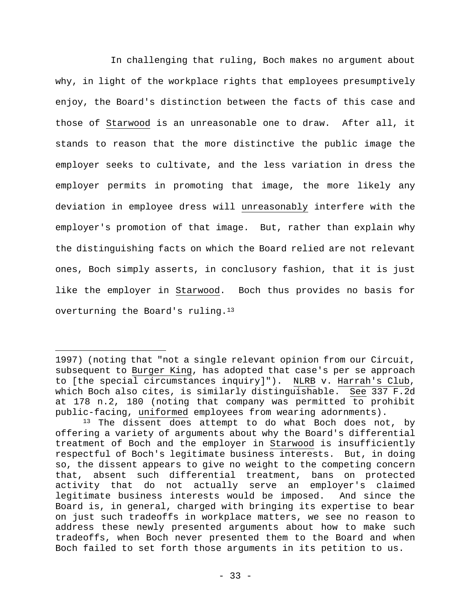In challenging that ruling, Boch makes no argument about why, in light of the workplace rights that employees presumptively enjoy, the Board's distinction between the facts of this case and those of Starwood is an unreasonable one to draw. After all, it stands to reason that the more distinctive the public image the employer seeks to cultivate, and the less variation in dress the employer permits in promoting that image, the more likely any deviation in employee dress will unreasonably interfere with the employer's promotion of that image. But, rather than explain why the distinguishing facts on which the Board relied are not relevant ones, Boch simply asserts, in conclusory fashion, that it is just like the employer in Starwood. Boch thus provides no basis for overturning the Board's ruling.13

<sup>1997) (</sup>noting that "not a single relevant opinion from our Circuit, subsequent to Burger King, has adopted that case's per se approach to [the special circumstances inquiry]"). NLRB v. Harrah's Club, which Boch also cites, is similarly distinguishable. See 337 F.2d at 178 n.2, 180 (noting that company was permitted to prohibit public-facing, uniformed employees from wearing adornments).

<sup>&</sup>lt;sup>13</sup> The dissent does attempt to do what Boch does not, by offering a variety of arguments about why the Board's differential treatment of Boch and the employer in Starwood is insufficiently respectful of Boch's legitimate business interests. But, in doing so, the dissent appears to give no weight to the competing concern that, absent such differential treatment, bans on protected activity that do not actually serve an employer's claimed legitimate business interests would be imposed. And since the Board is, in general, charged with bringing its expertise to bear on just such tradeoffs in workplace matters, we see no reason to address these newly presented arguments about how to make such tradeoffs, when Boch never presented them to the Board and when Boch failed to set forth those arguments in its petition to us.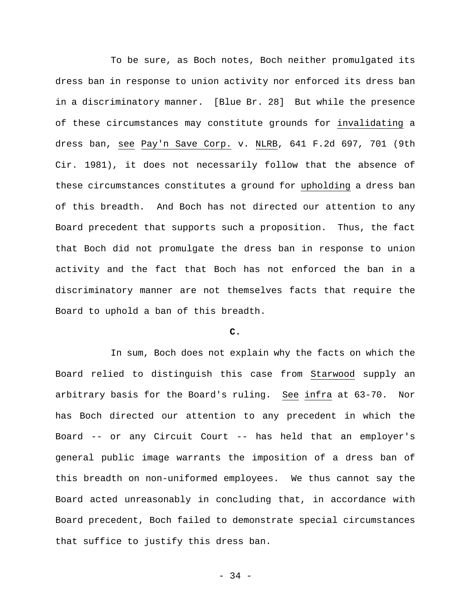To be sure, as Boch notes, Boch neither promulgated its dress ban in response to union activity nor enforced its dress ban in a discriminatory manner. [Blue Br. 28] But while the presence of these circumstances may constitute grounds for invalidating a dress ban, see Pay'n Save Corp. v. NLRB, 641 F.2d 697, 701 (9th Cir. 1981), it does not necessarily follow that the absence of these circumstances constitutes a ground for upholding a dress ban of this breadth. And Boch has not directed our attention to any Board precedent that supports such a proposition. Thus, the fact that Boch did not promulgate the dress ban in response to union activity and the fact that Boch has not enforced the ban in a discriminatory manner are not themselves facts that require the Board to uphold a ban of this breadth.

# **C.**

In sum, Boch does not explain why the facts on which the Board relied to distinguish this case from Starwood supply an arbitrary basis for the Board's ruling. See infra at 63-70. Nor has Boch directed our attention to any precedent in which the Board -- or any Circuit Court -- has held that an employer's general public image warrants the imposition of a dress ban of this breadth on non-uniformed employees. We thus cannot say the Board acted unreasonably in concluding that, in accordance with Board precedent, Boch failed to demonstrate special circumstances that suffice to justify this dress ban.

- 34 -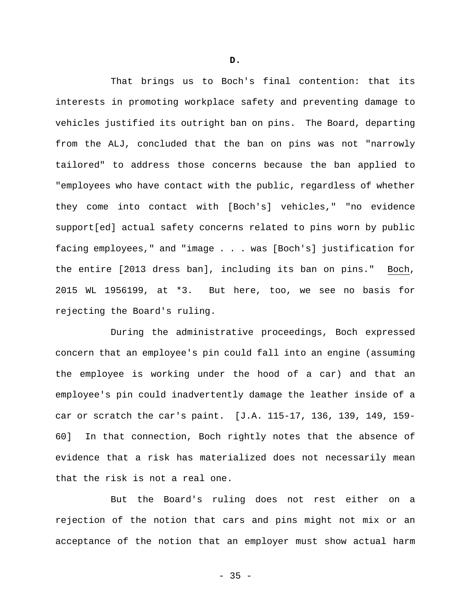That brings us to Boch's final contention: that its interests in promoting workplace safety and preventing damage to vehicles justified its outright ban on pins. The Board, departing from the ALJ, concluded that the ban on pins was not "narrowly tailored" to address those concerns because the ban applied to "employees who have contact with the public, regardless of whether they come into contact with [Boch's] vehicles," "no evidence support[ed] actual safety concerns related to pins worn by public facing employees," and "image . . . was [Boch's] justification for the entire [2013 dress ban], including its ban on pins." Boch, 2015 WL 1956199, at \*3. But here, too, we see no basis for rejecting the Board's ruling.

During the administrative proceedings, Boch expressed concern that an employee's pin could fall into an engine (assuming the employee is working under the hood of a car) and that an employee's pin could inadvertently damage the leather inside of a car or scratch the car's paint. [J.A. 115-17, 136, 139, 149, 159- 60] In that connection, Boch rightly notes that the absence of evidence that a risk has materialized does not necessarily mean that the risk is not a real one.

But the Board's ruling does not rest either on a rejection of the notion that cars and pins might not mix or an acceptance of the notion that an employer must show actual harm

**D.**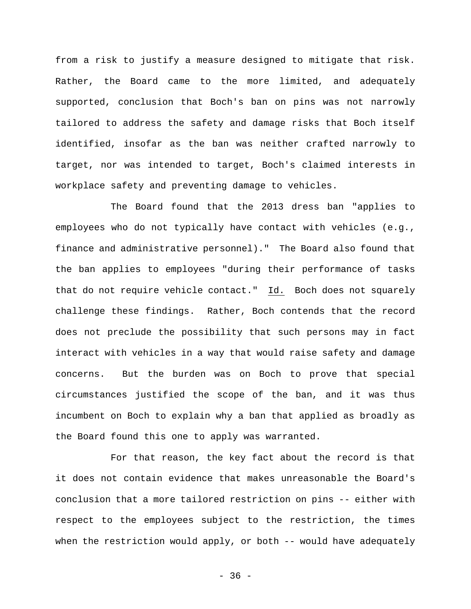from a risk to justify a measure designed to mitigate that risk. Rather, the Board came to the more limited, and adequately supported, conclusion that Boch's ban on pins was not narrowly tailored to address the safety and damage risks that Boch itself identified, insofar as the ban was neither crafted narrowly to target, nor was intended to target, Boch's claimed interests in workplace safety and preventing damage to vehicles.

The Board found that the 2013 dress ban "applies to employees who do not typically have contact with vehicles (e.g., finance and administrative personnel)." The Board also found that the ban applies to employees "during their performance of tasks that do not require vehicle contact." Id. Boch does not squarely challenge these findings. Rather, Boch contends that the record does not preclude the possibility that such persons may in fact interact with vehicles in a way that would raise safety and damage concerns. But the burden was on Boch to prove that special circumstances justified the scope of the ban, and it was thus incumbent on Boch to explain why a ban that applied as broadly as the Board found this one to apply was warranted.

For that reason, the key fact about the record is that it does not contain evidence that makes unreasonable the Board's conclusion that a more tailored restriction on pins -- either with respect to the employees subject to the restriction, the times when the restriction would apply, or both -- would have adequately

 $-36 -$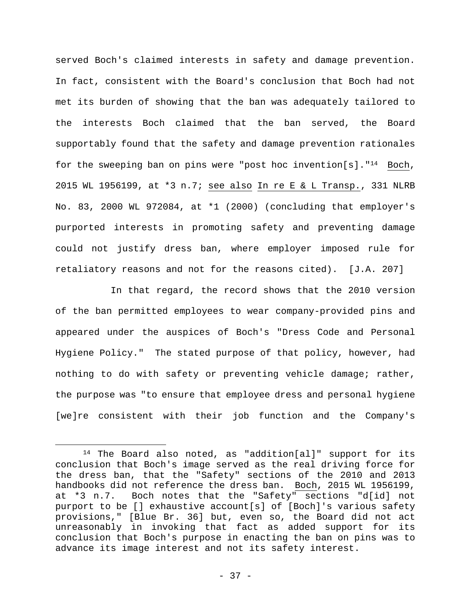served Boch's claimed interests in safety and damage prevention. In fact, consistent with the Board's conclusion that Boch had not met its burden of showing that the ban was adequately tailored to the interests Boch claimed that the ban served, the Board supportably found that the safety and damage prevention rationales for the sweeping ban on pins were "post hoc invention[s]."14 Boch, 2015 WL 1956199, at \*3 n.7; see also In re E & L Transp., 331 NLRB No. 83, 2000 WL 972084, at \*1 (2000) (concluding that employer's purported interests in promoting safety and preventing damage could not justify dress ban, where employer imposed rule for retaliatory reasons and not for the reasons cited). [J.A. 207]

In that regard, the record shows that the 2010 version of the ban permitted employees to wear company-provided pins and appeared under the auspices of Boch's "Dress Code and Personal Hygiene Policy." The stated purpose of that policy, however, had nothing to do with safety or preventing vehicle damage; rather, the purpose was "to ensure that employee dress and personal hygiene [we]re consistent with their job function and the Company's

<sup>14</sup> The Board also noted, as "addition[al]" support for its conclusion that Boch's image served as the real driving force for the dress ban, that the "Safety" sections of the 2010 and 2013 handbooks did not reference the dress ban. Boch, 2015 WL 1956199, at \*3 n.7. Boch notes that the "Safety" sections "d[id] not purport to be [] exhaustive account[s] of [Boch]'s various safety provisions," [Blue Br. 36] but, even so, the Board did not act unreasonably in invoking that fact as added support for its conclusion that Boch's purpose in enacting the ban on pins was to advance its image interest and not its safety interest.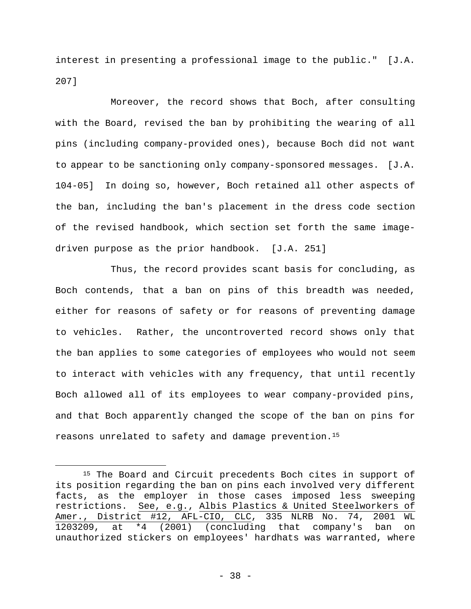interest in presenting a professional image to the public." [J.A. 207]

Moreover, the record shows that Boch, after consulting with the Board, revised the ban by prohibiting the wearing of all pins (including company-provided ones), because Boch did not want to appear to be sanctioning only company-sponsored messages. [J.A. 104-05] In doing so, however, Boch retained all other aspects of the ban, including the ban's placement in the dress code section of the revised handbook, which section set forth the same imagedriven purpose as the prior handbook. [J.A. 251]

Thus, the record provides scant basis for concluding, as Boch contends, that a ban on pins of this breadth was needed, either for reasons of safety or for reasons of preventing damage to vehicles. Rather, the uncontroverted record shows only that the ban applies to some categories of employees who would not seem to interact with vehicles with any frequency, that until recently Boch allowed all of its employees to wear company-provided pins, and that Boch apparently changed the scope of the ban on pins for reasons unrelated to safety and damage prevention.15

<sup>&</sup>lt;sup>15</sup> The Board and Circuit precedents Boch cites in support of its position regarding the ban on pins each involved very different facts, as the employer in those cases imposed less sweeping restrictions. See, e.g., Albis Plastics & United Steelworkers of Amer., District #12, AFL-CIO, CLC, 335 NLRB No. 74, 2001 WL<br>1203209, at \*4 (2001) (concluding that company's ban on 1203209, at \*4 (2001) (concluding that company's ban on unauthorized stickers on employees' hardhats was warranted, where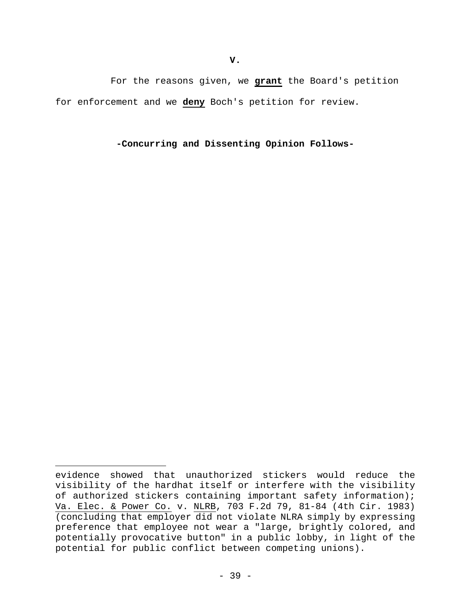For the reasons given, we **grant** the Board's petition for enforcement and we **deny** Boch's petition for review.

**-Concurring and Dissenting Opinion Follows-** 

evidence showed that unauthorized stickers would reduce the visibility of the hardhat itself or interfere with the visibility of authorized stickers containing important safety information); Va. Elec. & Power Co. v. NLRB, 703 F.2d 79, 81-84 (4th Cir. 1983) (concluding that employer did not violate NLRA simply by expressing preference that employee not wear a "large, brightly colored, and potentially provocative button" in a public lobby, in light of the potential for public conflict between competing unions).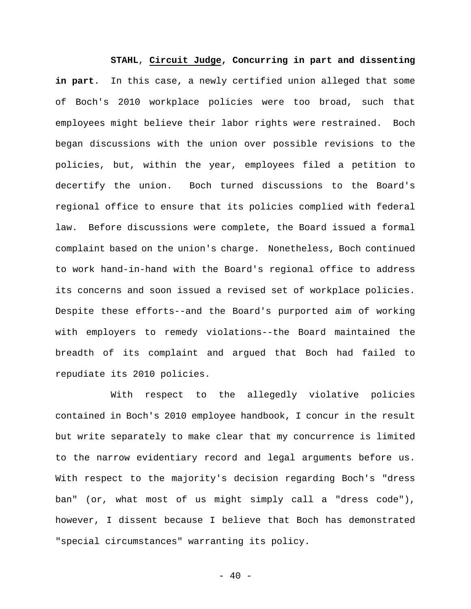**STAHL**, **Circuit Judge, Concurring in part and dissenting in part**. In this case, a newly certified union alleged that some of Boch's 2010 workplace policies were too broad, such that employees might believe their labor rights were restrained. Boch began discussions with the union over possible revisions to the policies, but, within the year, employees filed a petition to decertify the union. Boch turned discussions to the Board's regional office to ensure that its policies complied with federal law. Before discussions were complete, the Board issued a formal complaint based on the union's charge. Nonetheless, Boch continued to work hand-in-hand with the Board's regional office to address its concerns and soon issued a revised set of workplace policies. Despite these efforts--and the Board's purported aim of working with employers to remedy violations--the Board maintained the breadth of its complaint and argued that Boch had failed to repudiate its 2010 policies.

With respect to the allegedly violative policies contained in Boch's 2010 employee handbook, I concur in the result but write separately to make clear that my concurrence is limited to the narrow evidentiary record and legal arguments before us. With respect to the majority's decision regarding Boch's "dress ban" (or, what most of us might simply call a "dress code"), however, I dissent because I believe that Boch has demonstrated "special circumstances" warranting its policy.

 $- 40 -$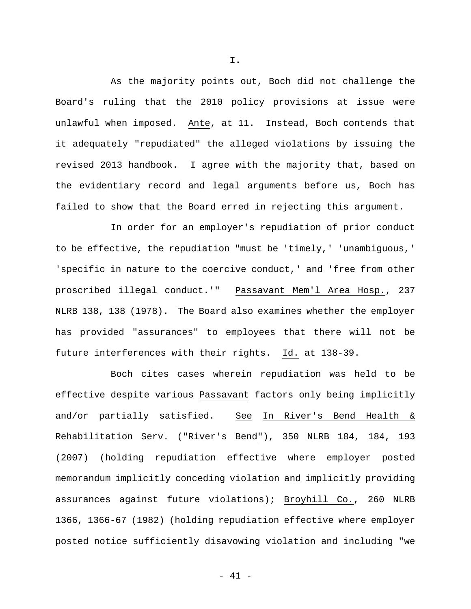As the majority points out, Boch did not challenge the Board's ruling that the 2010 policy provisions at issue were unlawful when imposed. Ante, at 11. Instead, Boch contends that it adequately "repudiated" the alleged violations by issuing the revised 2013 handbook. I agree with the majority that, based on the evidentiary record and legal arguments before us, Boch has failed to show that the Board erred in rejecting this argument.

In order for an employer's repudiation of prior conduct to be effective, the repudiation "must be 'timely,' 'unambiguous,' 'specific in nature to the coercive conduct,' and 'free from other proscribed illegal conduct.'" Passavant Mem'l Area Hosp., 237 NLRB 138, 138 (1978). The Board also examines whether the employer has provided "assurances" to employees that there will not be future interferences with their rights. Id. at 138-39.

Boch cites cases wherein repudiation was held to be effective despite various Passavant factors only being implicitly and/or partially satisfied. See In River's Bend Health & Rehabilitation Serv. ("River's Bend"), 350 NLRB 184, 184, 193 (2007) (holding repudiation effective where employer posted memorandum implicitly conceding violation and implicitly providing assurances against future violations); Broyhill Co., 260 NLRB 1366, 1366-67 (1982) (holding repudiation effective where employer posted notice sufficiently disavowing violation and including "we

**I.**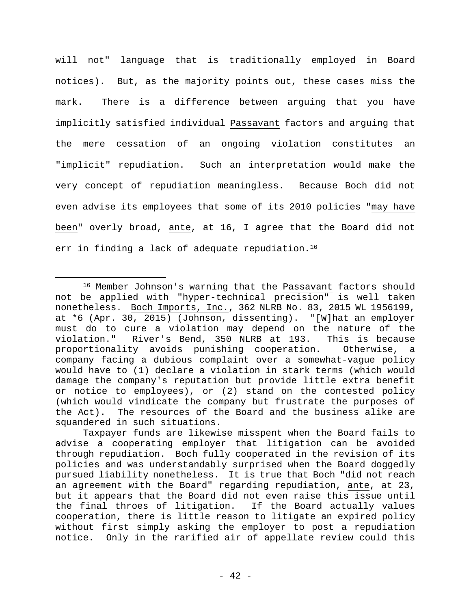will not" language that is traditionally employed in Board notices). But, as the majority points out, these cases miss the mark. There is a difference between arguing that you have implicitly satisfied individual Passavant factors and arguing that the mere cessation of an ongoing violation constitutes an "implicit" repudiation. Such an interpretation would make the very concept of repudiation meaningless. Because Boch did not even advise its employees that some of its 2010 policies "may have been" overly broad, ante, at 16, I agree that the Board did not err in finding a lack of adequate repudiation.<sup>16</sup>

<sup>16</sup> Member Johnson's warning that the Passavant factors should not be applied with "hyper-technical precision" is well taken nonetheless. Boch Imports, Inc., 362 NLRB No. 83, 2015 WL 1956199, at \*6 (Apr. 30, 2015) (Johnson, dissenting). "[W]hat an employer must do to cure a violation may depend on the nature of the violation." River's Bend, 350 NLRB at 193. This is because proportionality avoids punishing cooperation. Otherwise, a company facing a dubious complaint over a somewhat-vague policy would have to (1) declare a violation in stark terms (which would damage the company's reputation but provide little extra benefit or notice to employees), or (2) stand on the contested policy (which would vindicate the company but frustrate the purposes of the Act). The resources of the Board and the business alike are squandered in such situations.

Taxpayer funds are likewise misspent when the Board fails to advise a cooperating employer that litigation can be avoided through repudiation. Boch fully cooperated in the revision of its policies and was understandably surprised when the Board doggedly pursued liability nonetheless. It is true that Boch "did not reach an agreement with the Board" regarding repudiation, ante, at 23, but it appears that the Board did not even raise this issue until the final throes of litigation. If the Board actually values cooperation, there is little reason to litigate an expired policy without first simply asking the employer to post a repudiation notice. Only in the rarified air of appellate review could this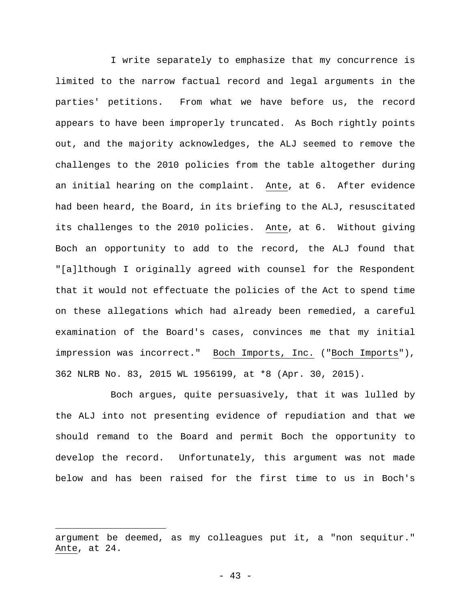I write separately to emphasize that my concurrence is limited to the narrow factual record and legal arguments in the parties' petitions. From what we have before us, the record appears to have been improperly truncated. As Boch rightly points out, and the majority acknowledges, the ALJ seemed to remove the challenges to the 2010 policies from the table altogether during an initial hearing on the complaint. Ante, at 6. After evidence had been heard, the Board, in its briefing to the ALJ, resuscitated its challenges to the 2010 policies. Ante, at 6. Without giving Boch an opportunity to add to the record, the ALJ found that "[a]lthough I originally agreed with counsel for the Respondent that it would not effectuate the policies of the Act to spend time on these allegations which had already been remedied, a careful examination of the Board's cases, convinces me that my initial impression was incorrect." Boch Imports, Inc. ("Boch Imports"), 362 NLRB No. 83, 2015 WL 1956199, at \*8 (Apr. 30, 2015).

Boch argues, quite persuasively, that it was lulled by the ALJ into not presenting evidence of repudiation and that we should remand to the Board and permit Boch the opportunity to develop the record. Unfortunately, this argument was not made below and has been raised for the first time to us in Boch's

argument be deemed, as my colleagues put it, a "non sequitur." Ante, at 24.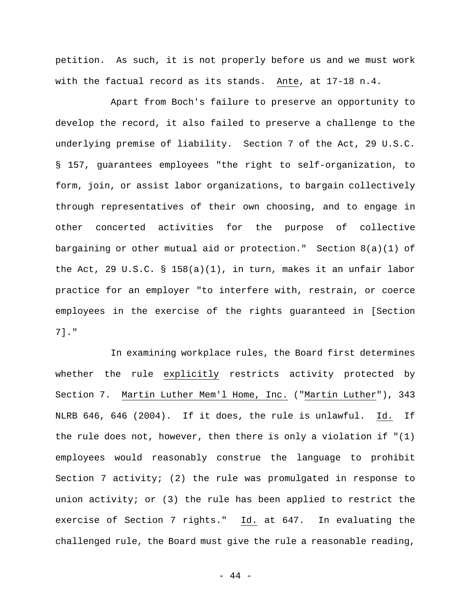petition. As such, it is not properly before us and we must work with the factual record as its stands. Ante, at 17-18 n.4.

Apart from Boch's failure to preserve an opportunity to develop the record, it also failed to preserve a challenge to the underlying premise of liability. Section 7 of the Act, 29 U.S.C. § 157, guarantees employees "the right to self-organization, to form, join, or assist labor organizations, to bargain collectively through representatives of their own choosing, and to engage in other concerted activities for the purpose of collective bargaining or other mutual aid or protection." Section  $8(a)(1)$  of the Act, 29 U.S.C. § 158(a)(1), in turn, makes it an unfair labor practice for an employer "to interfere with, restrain, or coerce employees in the exercise of the rights guaranteed in [Section 7]."

In examining workplace rules, the Board first determines whether the rule explicitly restricts activity protected by Section 7. Martin Luther Mem'l Home, Inc. ("Martin Luther"), 343 NLRB 646, 646 (2004). If it does, the rule is unlawful. Id. If the rule does not, however, then there is only a violation if  $(1)$ employees would reasonably construe the language to prohibit Section 7 activity; (2) the rule was promulgated in response to union activity; or (3) the rule has been applied to restrict the exercise of Section 7 rights." Id. at 647. In evaluating the challenged rule, the Board must give the rule a reasonable reading,

- 44 -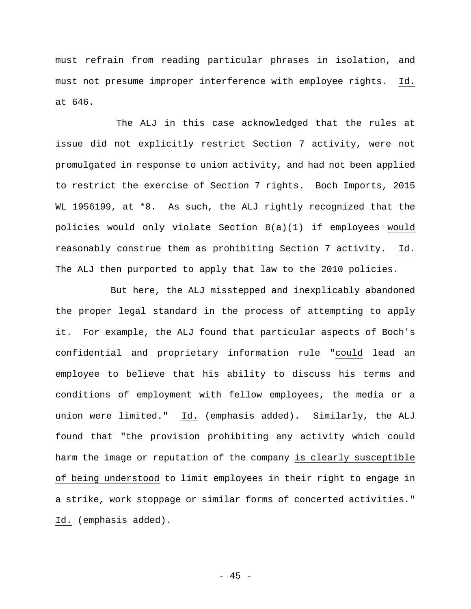must refrain from reading particular phrases in isolation, and must not presume improper interference with employee rights. Id. at 646.

 The ALJ in this case acknowledged that the rules at issue did not explicitly restrict Section 7 activity, were not promulgated in response to union activity, and had not been applied to restrict the exercise of Section 7 rights. Boch Imports, 2015 WL 1956199, at \*8. As such, the ALJ rightly recognized that the policies would only violate Section 8(a)(1) if employees would reasonably construe them as prohibiting Section 7 activity. Id. The ALJ then purported to apply that law to the 2010 policies.

But here, the ALJ misstepped and inexplicably abandoned the proper legal standard in the process of attempting to apply it. For example, the ALJ found that particular aspects of Boch's confidential and proprietary information rule "could lead an employee to believe that his ability to discuss his terms and conditions of employment with fellow employees, the media or a union were limited." Id. (emphasis added). Similarly, the ALJ found that "the provision prohibiting any activity which could harm the image or reputation of the company is clearly susceptible of being understood to limit employees in their right to engage in a strike, work stoppage or similar forms of concerted activities." Id. (emphasis added).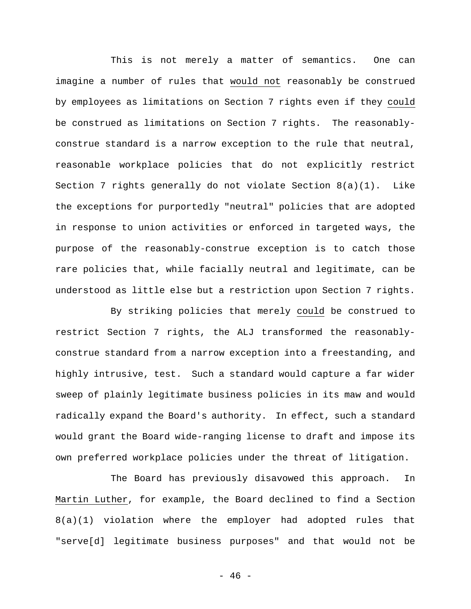This is not merely a matter of semantics. One can imagine a number of rules that would not reasonably be construed by employees as limitations on Section 7 rights even if they could be construed as limitations on Section 7 rights. The reasonablyconstrue standard is a narrow exception to the rule that neutral, reasonable workplace policies that do not explicitly restrict Section 7 rights generally do not violate Section 8(a)(1). Like the exceptions for purportedly "neutral" policies that are adopted in response to union activities or enforced in targeted ways, the purpose of the reasonably-construe exception is to catch those rare policies that, while facially neutral and legitimate, can be understood as little else but a restriction upon Section 7 rights.

By striking policies that merely could be construed to restrict Section 7 rights, the ALJ transformed the reasonablyconstrue standard from a narrow exception into a freestanding, and highly intrusive, test. Such a standard would capture a far wider sweep of plainly legitimate business policies in its maw and would radically expand the Board's authority. In effect, such a standard would grant the Board wide-ranging license to draft and impose its own preferred workplace policies under the threat of litigation.

The Board has previously disavowed this approach. In Martin Luther, for example, the Board declined to find a Section 8(a)(1) violation where the employer had adopted rules that "serve[d] legitimate business purposes" and that would not be

 $- 46 -$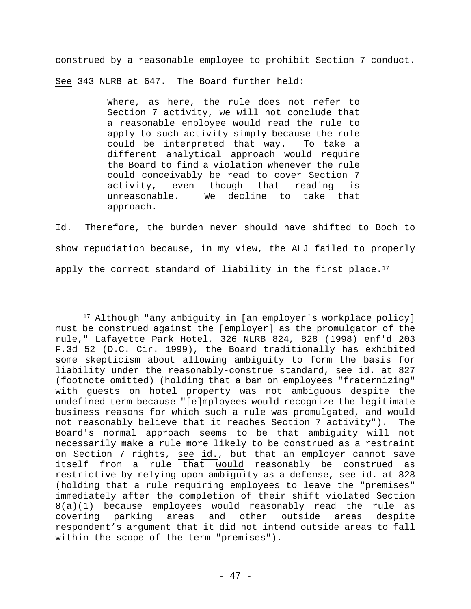construed by a reasonable employee to prohibit Section 7 conduct. See 343 NLRB at 647. The Board further held:

> Where, as here, the rule does not refer to Section 7 activity, we will not conclude that a reasonable employee would read the rule to apply to such activity simply because the rule could be interpreted that way. To take a different analytical approach would require the Board to find a violation whenever the rule could conceivably be read to cover Section 7 activity, even though that reading is unreasonable. We decline to take that approach.

Id. Therefore, the burden never should have shifted to Boch to show repudiation because, in my view, the ALJ failed to properly apply the correct standard of liability in the first place.<sup>17</sup>

1

<sup>&</sup>lt;sup>17</sup> Although "any ambiguity in [an employer's workplace policy] must be construed against the [employer] as the promulgator of the rule," Lafayette Park Hotel, 326 NLRB 824, 828 (1998) enf'd 203 F.3d 52 (D.C. Cir. 1999), the Board traditionally has exhibited some skepticism about allowing ambiguity to form the basis for liability under the reasonably-construe standard, see id. at 827 (footnote omitted) (holding that a ban on employees "fraternizing" with guests on hotel property was not ambiguous despite the undefined term because "[e]mployees would recognize the legitimate business reasons for which such a rule was promulgated, and would not reasonably believe that it reaches Section 7 activity"). The Board's normal approach seems to be that ambiguity will not necessarily make a rule more likely to be construed as a restraint on Section 7 rights, see id., but that an employer cannot save itself from a rule that would reasonably be construed as restrictive by relying upon ambiguity as a defense, see id. at 828 (holding that a rule requiring employees to leave the "premises" immediately after the completion of their shift violated Section 8(a)(1) because employees would reasonably read the rule as covering parking areas and other outside areas despite respondent's argument that it did not intend outside areas to fall within the scope of the term "premises").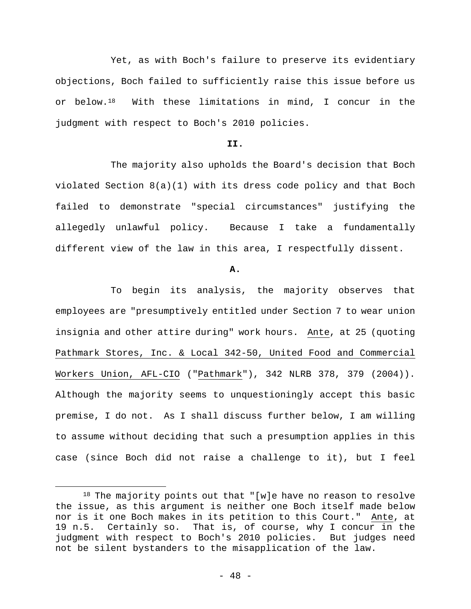Yet, as with Boch's failure to preserve its evidentiary objections, Boch failed to sufficiently raise this issue before us or below.18 With these limitations in mind, I concur in the judgment with respect to Boch's 2010 policies.

# **II.**

The majority also upholds the Board's decision that Boch violated Section 8(a)(1) with its dress code policy and that Boch failed to demonstrate "special circumstances" justifying the allegedly unlawful policy. Because I take a fundamentally different view of the law in this area, I respectfully dissent.

## **A.**

To begin its analysis, the majority observes that employees are "presumptively entitled under Section 7 to wear union insignia and other attire during" work hours. Ante, at 25 (quoting Pathmark Stores, Inc. & Local 342-50, United Food and Commercial Workers Union, AFL-CIO ("Pathmark"), 342 NLRB 378, 379 (2004)). Although the majority seems to unquestioningly accept this basic premise, I do not. As I shall discuss further below, I am willing to assume without deciding that such a presumption applies in this case (since Boch did not raise a challenge to it), but I feel

<sup>18</sup> The majority points out that "[w]e have no reason to resolve the issue, as this argument is neither one Boch itself made below nor is it one Boch makes in its petition to this Court." Ante, at 19 n.5. Certainly so. That is, of course, why I concur in the judgment with respect to Boch's 2010 policies. But judges need not be silent bystanders to the misapplication of the law.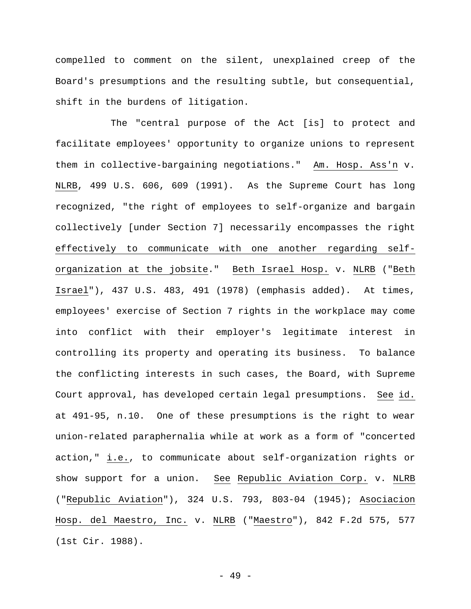compelled to comment on the silent, unexplained creep of the Board's presumptions and the resulting subtle, but consequential, shift in the burdens of litigation.

The "central purpose of the Act [is] to protect and facilitate employees' opportunity to organize unions to represent them in collective-bargaining negotiations." Am. Hosp. Ass'n v. NLRB, 499 U.S. 606, 609 (1991). As the Supreme Court has long recognized, "the right of employees to self-organize and bargain collectively [under Section 7] necessarily encompasses the right effectively to communicate with one another regarding selforganization at the jobsite." Beth Israel Hosp. v. NLRB ("Beth Israel"), 437 U.S. 483, 491 (1978) (emphasis added). At times, employees' exercise of Section 7 rights in the workplace may come into conflict with their employer's legitimate interest in controlling its property and operating its business. To balance the conflicting interests in such cases, the Board, with Supreme Court approval, has developed certain legal presumptions. See id. at 491-95, n.10. One of these presumptions is the right to wear union-related paraphernalia while at work as a form of "concerted action," i.e., to communicate about self-organization rights or show support for a union. See Republic Aviation Corp. v. NLRB ("Republic Aviation"), 324 U.S. 793, 803-04 (1945); Asociacion Hosp. del Maestro, Inc. v. NLRB ("Maestro"), 842 F.2d 575, 577 (1st Cir. 1988).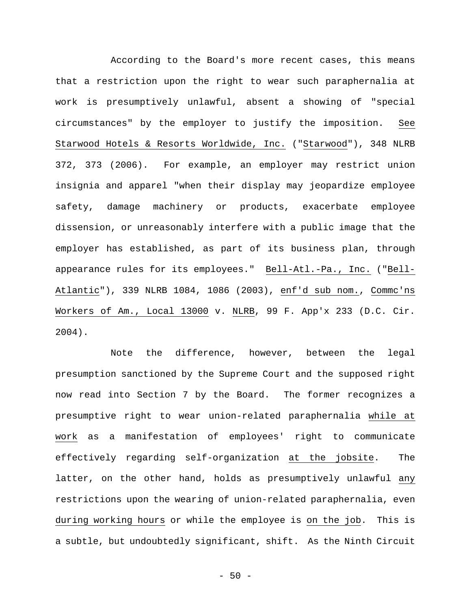According to the Board's more recent cases, this means that a restriction upon the right to wear such paraphernalia at work is presumptively unlawful, absent a showing of "special circumstances" by the employer to justify the imposition. See Starwood Hotels & Resorts Worldwide, Inc. ("Starwood"), 348 NLRB 372, 373 (2006). For example, an employer may restrict union insignia and apparel "when their display may jeopardize employee safety, damage machinery or products, exacerbate employee dissension, or unreasonably interfere with a public image that the employer has established, as part of its business plan, through appearance rules for its employees." Bell-Atl.-Pa., Inc. ("Bell-Atlantic"), 339 NLRB 1084, 1086 (2003), enf'd sub nom., Commc'ns Workers of Am., Local 13000 v. NLRB, 99 F. App'x 233 (D.C. Cir. 2004).

Note the difference, however, between the legal presumption sanctioned by the Supreme Court and the supposed right now read into Section 7 by the Board. The former recognizes a presumptive right to wear union-related paraphernalia while at work as a manifestation of employees' right to communicate effectively regarding self-organization at the jobsite. The latter, on the other hand, holds as presumptively unlawful any restrictions upon the wearing of union-related paraphernalia, even during working hours or while the employee is on the job. This is a subtle, but undoubtedly significant, shift. As the Ninth Circuit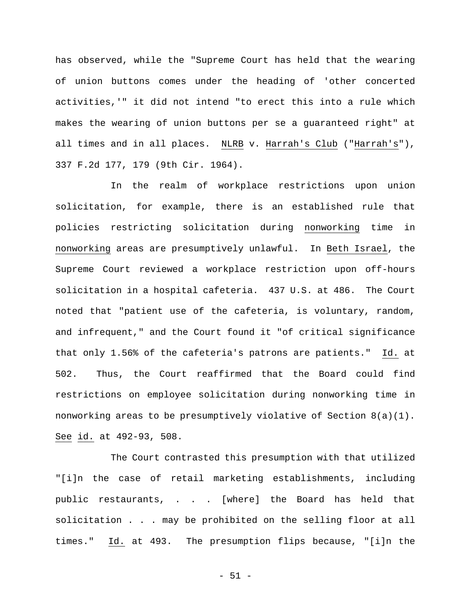has observed, while the "Supreme Court has held that the wearing of union buttons comes under the heading of 'other concerted activities,'" it did not intend "to erect this into a rule which makes the wearing of union buttons per se a guaranteed right" at all times and in all places. NLRB v. Harrah's Club ("Harrah's"), 337 F.2d 177, 179 (9th Cir. 1964).

In the realm of workplace restrictions upon union solicitation, for example, there is an established rule that policies restricting solicitation during nonworking time in nonworking areas are presumptively unlawful. In Beth Israel, the Supreme Court reviewed a workplace restriction upon off-hours solicitation in a hospital cafeteria. 437 U.S. at 486. The Court noted that "patient use of the cafeteria, is voluntary, random, and infrequent," and the Court found it "of critical significance that only 1.56% of the cafeteria's patrons are patients." Id. at 502. Thus, the Court reaffirmed that the Board could find restrictions on employee solicitation during nonworking time in nonworking areas to be presumptively violative of Section 8(a)(1). See id. at 492-93, 508.

The Court contrasted this presumption with that utilized "[i]n the case of retail marketing establishments, including public restaurants, . . . [where] the Board has held that solicitation . . . may be prohibited on the selling floor at all times." Id. at 493. The presumption flips because, "[i]n the

- 51 -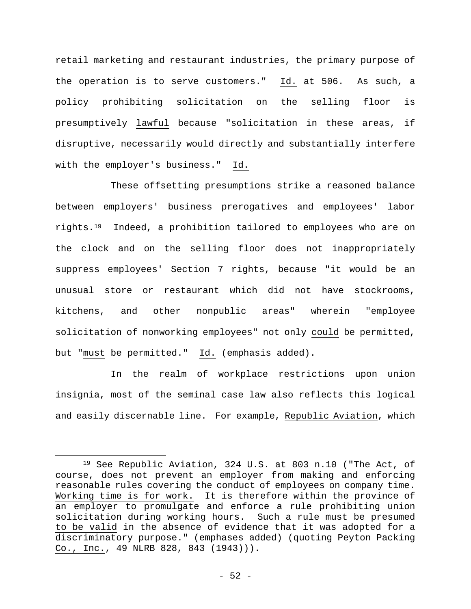retail marketing and restaurant industries, the primary purpose of the operation is to serve customers." Id. at 506. As such, a policy prohibiting solicitation on the selling floor is presumptively lawful because "solicitation in these areas, if disruptive, necessarily would directly and substantially interfere with the employer's business." Id.

These offsetting presumptions strike a reasoned balance between employers' business prerogatives and employees' labor rights.19 Indeed, a prohibition tailored to employees who are on the clock and on the selling floor does not inappropriately suppress employees' Section 7 rights, because "it would be an unusual store or restaurant which did not have stockrooms, kitchens, and other nonpublic areas" wherein "employee solicitation of nonworking employees" not only could be permitted, but "must be permitted." Id. (emphasis added).

In the realm of workplace restrictions upon union insignia, most of the seminal case law also reflects this logical and easily discernable line. For example, Republic Aviation, which

<sup>19</sup> See Republic Aviation, 324 U.S. at 803 n.10 ("The Act, of course, does not prevent an employer from making and enforcing reasonable rules covering the conduct of employees on company time. Working time is for work. It is therefore within the province of an employer to promulgate and enforce a rule prohibiting union solicitation during working hours. Such a rule must be presumed to be valid in the absence of evidence that it was adopted for a discriminatory purpose." (emphases added) (quoting Peyton Packing Co., Inc., 49 NLRB 828, 843 (1943))).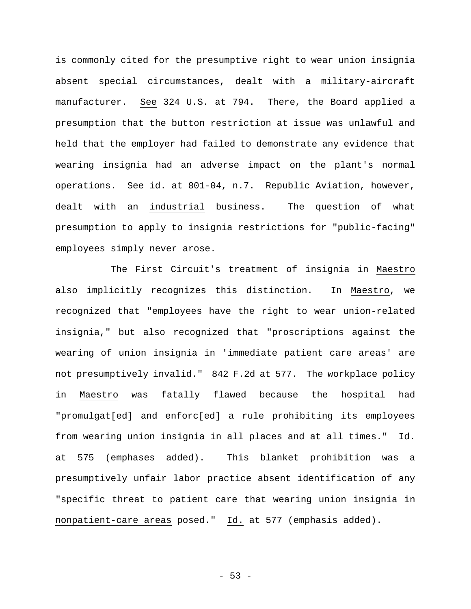is commonly cited for the presumptive right to wear union insignia absent special circumstances, dealt with a military-aircraft manufacturer. See 324 U.S. at 794. There, the Board applied a presumption that the button restriction at issue was unlawful and held that the employer had failed to demonstrate any evidence that wearing insignia had an adverse impact on the plant's normal operations. See id. at 801-04, n.7. Republic Aviation, however, dealt with an industrial business. The question of what presumption to apply to insignia restrictions for "public-facing" employees simply never arose.

The First Circuit's treatment of insignia in Maestro also implicitly recognizes this distinction. In Maestro, we recognized that "employees have the right to wear union-related insignia," but also recognized that "proscriptions against the wearing of union insignia in 'immediate patient care areas' are not presumptively invalid." 842 F.2d at 577. The workplace policy in Maestro was fatally flawed because the hospital had "promulgat[ed] and enforc[ed] a rule prohibiting its employees from wearing union insignia in all places and at all times." Id. at 575 (emphases added). This blanket prohibition was a presumptively unfair labor practice absent identification of any "specific threat to patient care that wearing union insignia in nonpatient-care areas posed." Id. at 577 (emphasis added).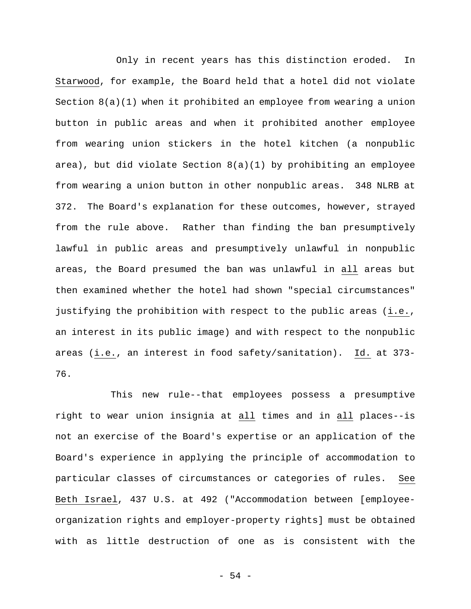Only in recent years has this distinction eroded. In Starwood, for example, the Board held that a hotel did not violate Section 8(a)(1) when it prohibited an employee from wearing a union button in public areas and when it prohibited another employee from wearing union stickers in the hotel kitchen (a nonpublic area), but did violate Section 8(a)(1) by prohibiting an employee from wearing a union button in other nonpublic areas. 348 NLRB at 372. The Board's explanation for these outcomes, however, strayed from the rule above. Rather than finding the ban presumptively lawful in public areas and presumptively unlawful in nonpublic areas, the Board presumed the ban was unlawful in all areas but then examined whether the hotel had shown "special circumstances" justifying the prohibition with respect to the public areas (i.e., an interest in its public image) and with respect to the nonpublic areas (i.e., an interest in food safety/sanitation). Id. at 373- 76.

This new rule--that employees possess a presumptive right to wear union insignia at all times and in all places--is not an exercise of the Board's expertise or an application of the Board's experience in applying the principle of accommodation to particular classes of circumstances or categories of rules. See Beth Israel, 437 U.S. at 492 ("Accommodation between [employeeorganization rights and employer-property rights] must be obtained with as little destruction of one as is consistent with the

- 54 -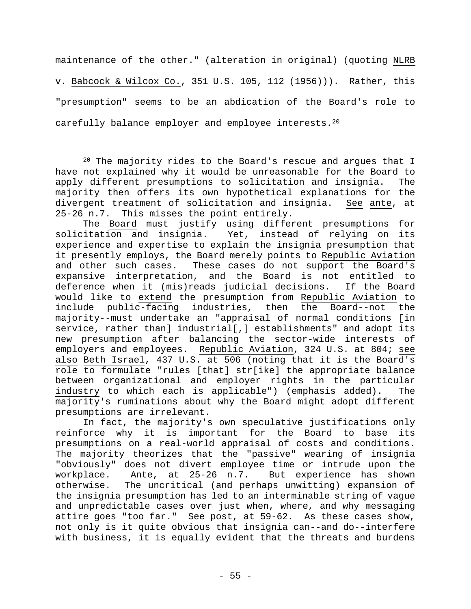maintenance of the other." (alteration in original) (quoting NLRB v. Babcock & Wilcox Co., 351 U.S. 105, 112 (1956))). Rather, this "presumption" seems to be an abdication of the Board's role to carefully balance employer and employee interests.<sup>20</sup>

 $\overline{a}$ 

The Board must justify using different presumptions for solicitation and insignia. Yet, instead of relying on its experience and expertise to explain the insignia presumption that it presently employs, the Board merely points to Republic Aviation and other such cases. These cases do not support the Board's expansive interpretation, and the Board is not entitled to deference when it (mis)reads judicial decisions. If the Board would like to extend the presumption from Republic Aviation to include public-facing industries, then the Board--not the majority--must undertake an "appraisal of normal conditions [in service, rather than] industrial[,] establishments" and adopt its new presumption after balancing the sector-wide interests of employers and employees. Republic Aviation, 324 U.S. at 804; see also Beth Israel, 437 U.S. at 506 (noting that it is the Board's role to formulate "rules [that] str[ike] the appropriate balance between organizational and employer rights in the particular industry to which each is applicable") (emphasis added). The majority's ruminations about why the Board might adopt different presumptions are irrelevant.

In fact, the majority's own speculative justifications only reinforce why it is important for the Board to base its presumptions on a real-world appraisal of costs and conditions. The majority theorizes that the "passive" wearing of insignia "obviously" does not divert employee time or intrude upon the workplace. Ante, at 25-26 n.7. But experience has shown otherwise. The uncritical (and perhaps unwitting) expansion of the insignia presumption has led to an interminable string of vague and unpredictable cases over just when, where, and why messaging attire goes "too far." See post, at 59-62. As these cases show, not only is it quite obvious that insignia can--and do--interfere with business, it is equally evident that the threats and burdens

 $20$  The majority rides to the Board's rescue and argues that I have not explained why it would be unreasonable for the Board to apply different presumptions to solicitation and insignia. The majority then offers its own hypothetical explanations for the divergent treatment of solicitation and insignia. See ante, at 25-26 n.7. This misses the point entirely.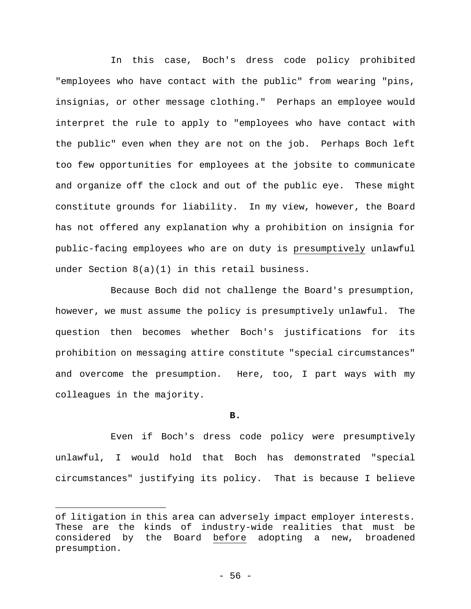In this case, Boch's dress code policy prohibited "employees who have contact with the public" from wearing "pins, insignias, or other message clothing." Perhaps an employee would interpret the rule to apply to "employees who have contact with the public" even when they are not on the job. Perhaps Boch left too few opportunities for employees at the jobsite to communicate and organize off the clock and out of the public eye. These might constitute grounds for liability. In my view, however, the Board has not offered any explanation why a prohibition on insignia for public-facing employees who are on duty is presumptively unlawful under Section 8(a)(1) in this retail business.

Because Boch did not challenge the Board's presumption, however, we must assume the policy is presumptively unlawful. The question then becomes whether Boch's justifications for its prohibition on messaging attire constitute "special circumstances" and overcome the presumption. Here, too, I part ways with my colleagues in the majority.

#### **B.**

Even if Boch's dress code policy were presumptively unlawful, I would hold that Boch has demonstrated "special circumstances" justifying its policy. That is because I believe

of litigation in this area can adversely impact employer interests. These are the kinds of industry-wide realities that must be considered by the Board before adopting a new, broadened presumption.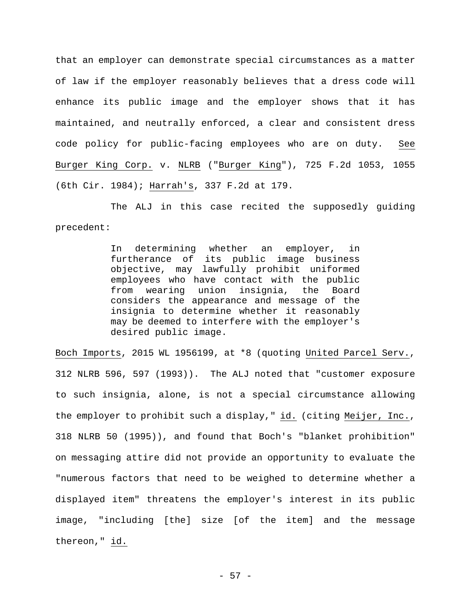that an employer can demonstrate special circumstances as a matter of law if the employer reasonably believes that a dress code will enhance its public image and the employer shows that it has maintained, and neutrally enforced, a clear and consistent dress code policy for public-facing employees who are on duty. See Burger King Corp. v. NLRB ("Burger King"), 725 F.2d 1053, 1055 (6th Cir. 1984); Harrah's, 337 F.2d at 179.

The ALJ in this case recited the supposedly guiding precedent:

> In determining whether an employer, in furtherance of its public image business objective, may lawfully prohibit uniformed employees who have contact with the public from wearing union insignia, the Board considers the appearance and message of the insignia to determine whether it reasonably may be deemed to interfere with the employer's desired public image.

Boch Imports, 2015 WL 1956199, at \*8 (quoting United Parcel Serv., 312 NLRB 596, 597 (1993)). The ALJ noted that "customer exposure to such insignia, alone, is not a special circumstance allowing the employer to prohibit such a display," id. (citing Meijer, Inc., 318 NLRB 50 (1995)), and found that Boch's "blanket prohibition" on messaging attire did not provide an opportunity to evaluate the "numerous factors that need to be weighed to determine whether a displayed item" threatens the employer's interest in its public image, "including [the] size [of the item] and the message thereon," id.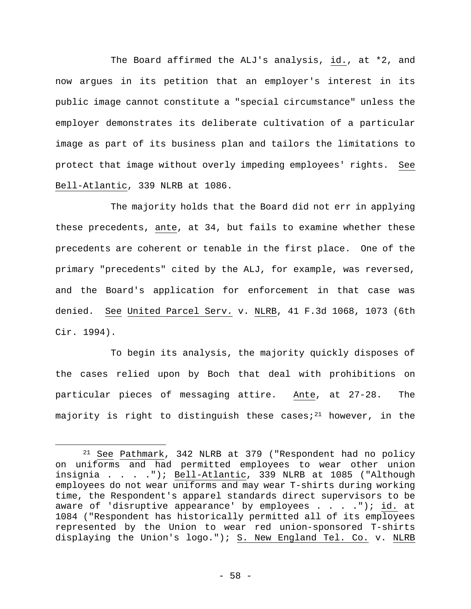The Board affirmed the ALJ's analysis, id., at \*2, and now argues in its petition that an employer's interest in its public image cannot constitute a "special circumstance" unless the employer demonstrates its deliberate cultivation of a particular image as part of its business plan and tailors the limitations to protect that image without overly impeding employees' rights. See Bell-Atlantic, 339 NLRB at 1086.

The majority holds that the Board did not err in applying these precedents, ante, at 34, but fails to examine whether these precedents are coherent or tenable in the first place. One of the primary "precedents" cited by the ALJ, for example, was reversed, and the Board's application for enforcement in that case was denied. See United Parcel Serv. v. NLRB, 41 F.3d 1068, 1073 (6th Cir. 1994).

To begin its analysis, the majority quickly disposes of the cases relied upon by Boch that deal with prohibitions on particular pieces of messaging attire. Ante, at 27-28. The majority is right to distinguish these cases;<sup>21</sup> however, in the

<sup>21</sup> See Pathmark, 342 NLRB at 379 ("Respondent had no policy on uniforms and had permitted employees to wear other union insignia . . . ."); Bell-Atlantic, 339 NLRB at 1085 ("Although employees do not wear uniforms and may wear T-shirts during working time, the Respondent's apparel standards direct supervisors to be aware of 'disruptive appearance' by employees . . . . "); id. at 1084 ("Respondent has historically permitted all of its employees represented by the Union to wear red union-sponsored T-shirts displaying the Union's logo."); S. New England Tel. Co. v. NLRB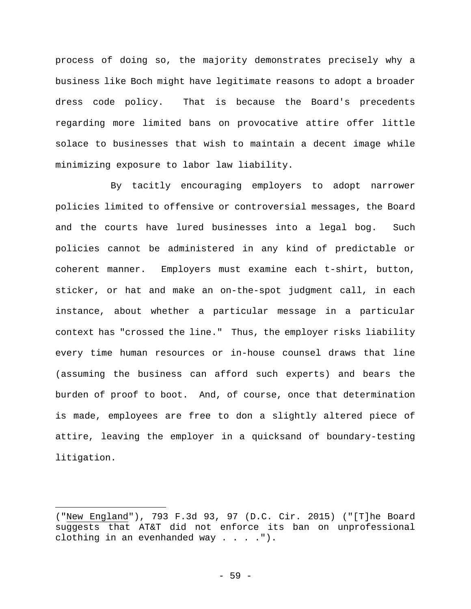process of doing so, the majority demonstrates precisely why a business like Boch might have legitimate reasons to adopt a broader dress code policy. That is because the Board's precedents regarding more limited bans on provocative attire offer little solace to businesses that wish to maintain a decent image while minimizing exposure to labor law liability.

By tacitly encouraging employers to adopt narrower policies limited to offensive or controversial messages, the Board and the courts have lured businesses into a legal bog. Such policies cannot be administered in any kind of predictable or coherent manner. Employers must examine each t-shirt, button, sticker, or hat and make an on-the-spot judgment call, in each instance, about whether a particular message in a particular context has "crossed the line." Thus, the employer risks liability every time human resources or in-house counsel draws that line (assuming the business can afford such experts) and bears the burden of proof to boot. And, of course, once that determination is made, employees are free to don a slightly altered piece of attire, leaving the employer in a quicksand of boundary-testing litigation.

1

<sup>(&</sup>quot;New England"), 793 F.3d 93, 97 (D.C. Cir. 2015) ("[T]he Board suggests that AT&T did not enforce its ban on unprofessional clothing in an evenhanded way  $\ldots$ .").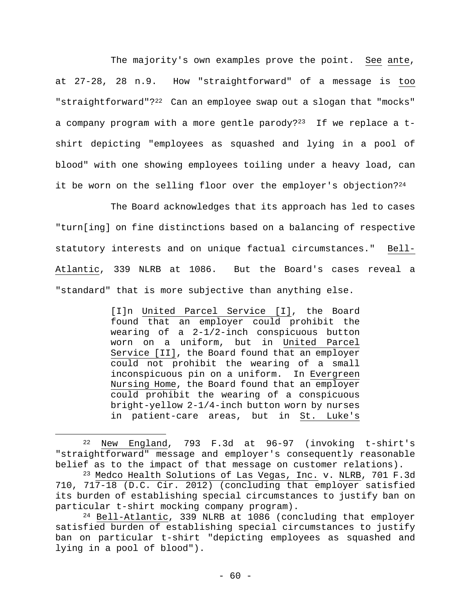The majority's own examples prove the point. See ante, at 27-28, 28 n.9. How "straightforward" of a message is too "straightforward"?<sup>22</sup> Can an employee swap out a slogan that "mocks" a company program with a more gentle parody? $23$  If we replace a tshirt depicting "employees as squashed and lying in a pool of blood" with one showing employees toiling under a heavy load, can it be worn on the selling floor over the employer's objection?<sup>24</sup>

The Board acknowledges that its approach has led to cases "turn[ing] on fine distinctions based on a balancing of respective statutory interests and on unique factual circumstances." Bell-Atlantic, 339 NLRB at 1086. But the Board's cases reveal a "standard" that is more subjective than anything else.

> [I]n United Parcel Service [I], the Board found that an employer could prohibit the wearing of a 2-1/2-inch conspicuous button worn on a uniform, but in United Parcel Service [II], the Board found that an employer could not prohibit the wearing of a small inconspicuous pin on a uniform. In Evergreen Nursing Home, the Board found that an employer could prohibit the wearing of a conspicuous bright-yellow 2-1/4-inch button worn by nurses in patient-care areas, but in St. Luke's

<sup>22</sup> New England, 793 F.3d at 96-97 (invoking t-shirt's "straightforward" message and employer's consequently reasonable belief as to the impact of that message on customer relations).

<sup>23</sup> Medco Health Solutions of Las Vegas, Inc. v. NLRB, 701 F.3d 710, 717-18 (D.C. Cir. 2012) (concluding that employer satisfied its burden of establishing special circumstances to justify ban on particular t-shirt mocking company program).

<sup>24</sup> Bell-Atlantic, 339 NLRB at 1086 (concluding that employer satisfied burden of establishing special circumstances to justify ban on particular t-shirt "depicting employees as squashed and lying in a pool of blood").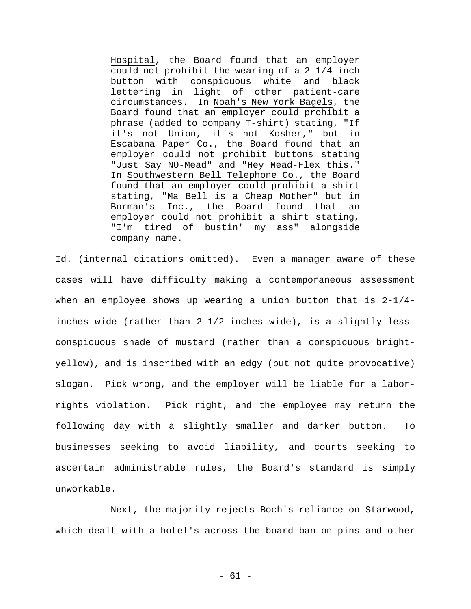Hospital, the Board found that an employer could not prohibit the wearing of a 2-1/4-inch button with conspicuous white and black lettering in light of other patient-care circumstances. In Noah's New York Bagels, the Board found that an employer could prohibit a phrase (added to company T-shirt) stating, "If it's not Union, it's not Kosher," but in Escabana Paper Co., the Board found that an employer could not prohibit buttons stating "Just Say NO-Mead" and "Hey Mead-Flex this." In Southwestern Bell Telephone Co., the Board found that an employer could prohibit a shirt stating, "Ma Bell is a Cheap Mother" but in Borman's Inc., the Board found that an employer could not prohibit a shirt stating, "I'm tired of bustin' my ass" alongside company name.

Id. (internal citations omitted). Even a manager aware of these cases will have difficulty making a contemporaneous assessment when an employee shows up wearing a union button that is 2-1/4 inches wide (rather than 2-1/2-inches wide), is a slightly-lessconspicuous shade of mustard (rather than a conspicuous brightyellow), and is inscribed with an edgy (but not quite provocative) slogan. Pick wrong, and the employer will be liable for a laborrights violation. Pick right, and the employee may return the following day with a slightly smaller and darker button. To businesses seeking to avoid liability, and courts seeking to ascertain administrable rules, the Board's standard is simply unworkable.

Next, the majority rejects Boch's reliance on Starwood, which dealt with a hotel's across-the-board ban on pins and other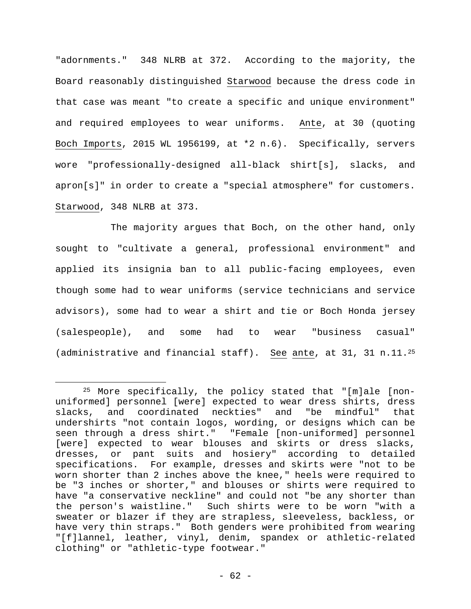"adornments." 348 NLRB at 372. According to the majority, the Board reasonably distinguished Starwood because the dress code in that case was meant "to create a specific and unique environment" and required employees to wear uniforms. Ante, at 30 (quoting Boch Imports, 2015 WL 1956199, at \*2 n.6). Specifically, servers wore "professionally-designed all-black shirt[s], slacks, and apron[s]" in order to create a "special atmosphere" for customers. Starwood, 348 NLRB at 373.

The majority argues that Boch, on the other hand, only sought to "cultivate a general, professional environment" and applied its insignia ban to all public-facing employees, even though some had to wear uniforms (service technicians and service advisors), some had to wear a shirt and tie or Boch Honda jersey (salespeople), and some had to wear "business casual" (administrative and financial staff). See ante, at 31, 31 n.11.25

<sup>25</sup> More specifically, the policy stated that "[m]ale [nonuniformed] personnel [were] expected to wear dress shirts, dress slacks, and coordinated neckties" and "be mindful" that undershirts "not contain logos, wording, or designs which can be seen through a dress shirt." "Female [non-uniformed] personnel [were] expected to wear blouses and skirts or dress slacks, dresses, or pant suits and hosiery" according to detailed specifications. For example, dresses and skirts were "not to be worn shorter than 2 inches above the knee," heels were required to be "3 inches or shorter," and blouses or shirts were required to have "a conservative neckline" and could not "be any shorter than the person's waistline." Such shirts were to be worn "with a sweater or blazer if they are strapless, sleeveless, backless, or have very thin straps." Both genders were prohibited from wearing "[f]lannel, leather, vinyl, denim, spandex or athletic-related clothing" or "athletic-type footwear."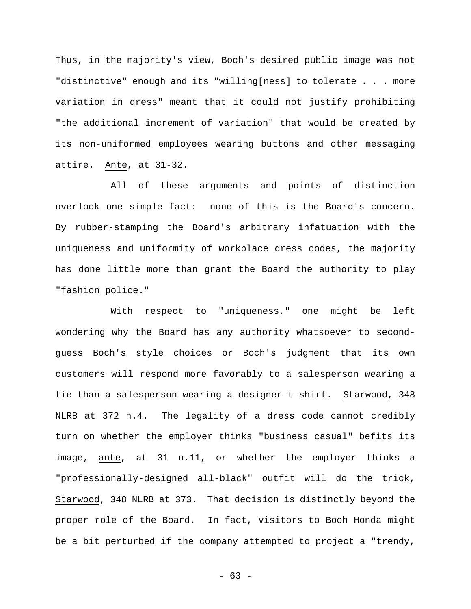Thus, in the majority's view, Boch's desired public image was not "distinctive" enough and its "willing[ness] to tolerate . . . more variation in dress" meant that it could not justify prohibiting "the additional increment of variation" that would be created by its non-uniformed employees wearing buttons and other messaging attire. Ante, at 31-32.

All of these arguments and points of distinction overlook one simple fact: none of this is the Board's concern. By rubber-stamping the Board's arbitrary infatuation with the uniqueness and uniformity of workplace dress codes, the majority has done little more than grant the Board the authority to play "fashion police."

With respect to "uniqueness," one might be left wondering why the Board has any authority whatsoever to secondguess Boch's style choices or Boch's judgment that its own customers will respond more favorably to a salesperson wearing a tie than a salesperson wearing a designer t-shirt. Starwood, 348 NLRB at 372 n.4. The legality of a dress code cannot credibly turn on whether the employer thinks "business casual" befits its image, ante, at 31 n.11, or whether the employer thinks a "professionally-designed all-black" outfit will do the trick, Starwood, 348 NLRB at 373. That decision is distinctly beyond the proper role of the Board. In fact, visitors to Boch Honda might be a bit perturbed if the company attempted to project a "trendy,

- 63 -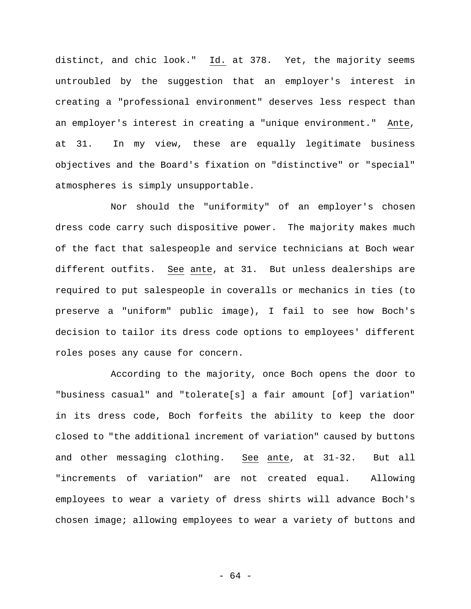distinct, and chic look." Id. at 378. Yet, the majority seems untroubled by the suggestion that an employer's interest in creating a "professional environment" deserves less respect than an employer's interest in creating a "unique environment." Ante, at 31. In my view, these are equally legitimate business objectives and the Board's fixation on "distinctive" or "special" atmospheres is simply unsupportable.

Nor should the "uniformity" of an employer's chosen dress code carry such dispositive power. The majority makes much of the fact that salespeople and service technicians at Boch wear different outfits. See ante, at 31. But unless dealerships are required to put salespeople in coveralls or mechanics in ties (to preserve a "uniform" public image), I fail to see how Boch's decision to tailor its dress code options to employees' different roles poses any cause for concern.

According to the majority, once Boch opens the door to "business casual" and "tolerate[s] a fair amount [of] variation" in its dress code, Boch forfeits the ability to keep the door closed to "the additional increment of variation" caused by buttons and other messaging clothing. See ante, at 31-32. But all "increments of variation" are not created equal. Allowing employees to wear a variety of dress shirts will advance Boch's chosen image; allowing employees to wear a variety of buttons and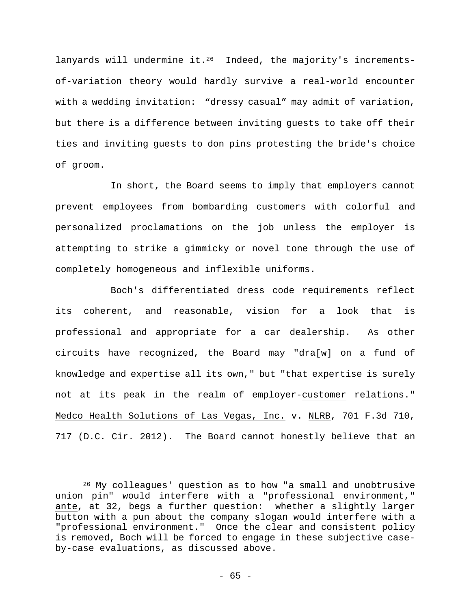lanyards will undermine it.<sup>26</sup> Indeed, the majority's incrementsof-variation theory would hardly survive a real-world encounter with a wedding invitation: "dressy casual" may admit of variation, but there is a difference between inviting guests to take off their ties and inviting guests to don pins protesting the bride's choice of groom.

In short, the Board seems to imply that employers cannot prevent employees from bombarding customers with colorful and personalized proclamations on the job unless the employer is attempting to strike a gimmicky or novel tone through the use of completely homogeneous and inflexible uniforms.

Boch's differentiated dress code requirements reflect its coherent, and reasonable, vision for a look that is professional and appropriate for a car dealership. As other circuits have recognized, the Board may "dra[w] on a fund of knowledge and expertise all its own," but "that expertise is surely not at its peak in the realm of employer-customer relations." Medco Health Solutions of Las Vegas, Inc. v. NLRB, 701 F.3d 710, 717 (D.C. Cir. 2012). The Board cannot honestly believe that an

<sup>&</sup>lt;sup>26</sup> My colleagues' question as to how "a small and unobtrusive union pin" would interfere with a "professional environment," ante, at 32, begs a further question: whether a slightly larger button with a pun about the company slogan would interfere with a "professional environment." Once the clear and consistent policy is removed, Boch will be forced to engage in these subjective caseby-case evaluations, as discussed above.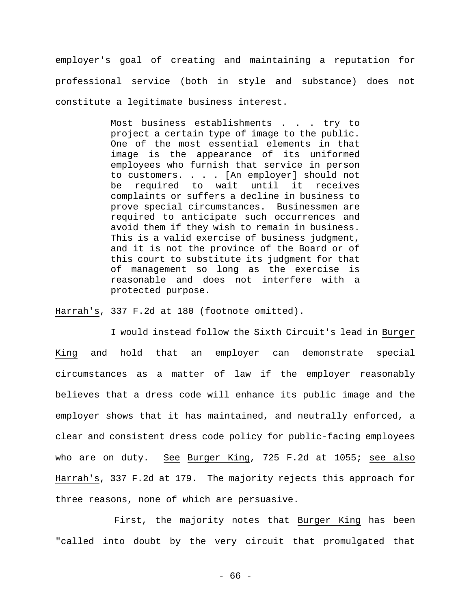employer's goal of creating and maintaining a reputation for professional service (both in style and substance) does not constitute a legitimate business interest.

> Most business establishments . . . try to project a certain type of image to the public. One of the most essential elements in that image is the appearance of its uniformed employees who furnish that service in person to customers. . . . [An employer] should not be required to wait until it receives complaints or suffers a decline in business to prove special circumstances. Businessmen are required to anticipate such occurrences and avoid them if they wish to remain in business. This is a valid exercise of business judgment, and it is not the province of the Board or of this court to substitute its judgment for that of management so long as the exercise is reasonable and does not interfere with a protected purpose.

Harrah's, 337 F.2d at 180 (footnote omitted).

I would instead follow the Sixth Circuit's lead in Burger King and hold that an employer can demonstrate special circumstances as a matter of law if the employer reasonably believes that a dress code will enhance its public image and the employer shows that it has maintained, and neutrally enforced, a clear and consistent dress code policy for public-facing employees who are on duty. See Burger King, 725 F.2d at 1055; see also Harrah's, 337 F.2d at 179. The majority rejects this approach for three reasons, none of which are persuasive.

First, the majority notes that Burger King has been "called into doubt by the very circuit that promulgated that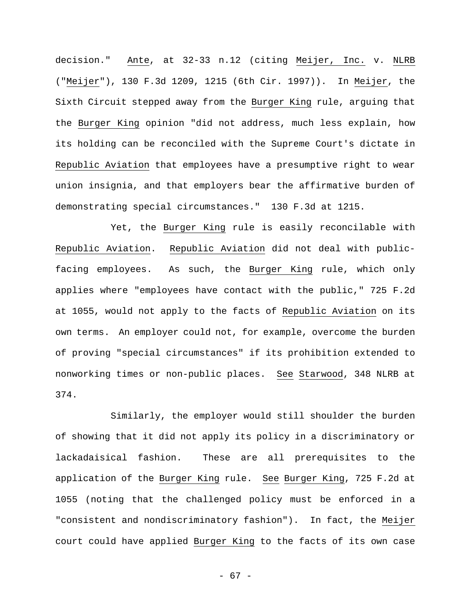decision." Ante, at 32-33 n.12 (citing Meijer, Inc. v. NLRB ("Meijer"), 130 F.3d 1209, 1215 (6th Cir. 1997)). In Meijer, the Sixth Circuit stepped away from the Burger King rule, arguing that the Burger King opinion "did not address, much less explain, how its holding can be reconciled with the Supreme Court's dictate in Republic Aviation that employees have a presumptive right to wear union insignia, and that employers bear the affirmative burden of demonstrating special circumstances." 130 F.3d at 1215.

Yet, the Burger King rule is easily reconcilable with Republic Aviation. Republic Aviation did not deal with publicfacing employees. As such, the Burger King rule, which only applies where "employees have contact with the public," 725 F.2d at 1055, would not apply to the facts of Republic Aviation on its own terms. An employer could not, for example, overcome the burden of proving "special circumstances" if its prohibition extended to nonworking times or non-public places. See Starwood, 348 NLRB at 374.

Similarly, the employer would still shoulder the burden of showing that it did not apply its policy in a discriminatory or lackadaisical fashion. These are all prerequisites to the application of the Burger King rule. See Burger King, 725 F.2d at 1055 (noting that the challenged policy must be enforced in a "consistent and nondiscriminatory fashion"). In fact, the Meijer court could have applied Burger King to the facts of its own case

- 67 -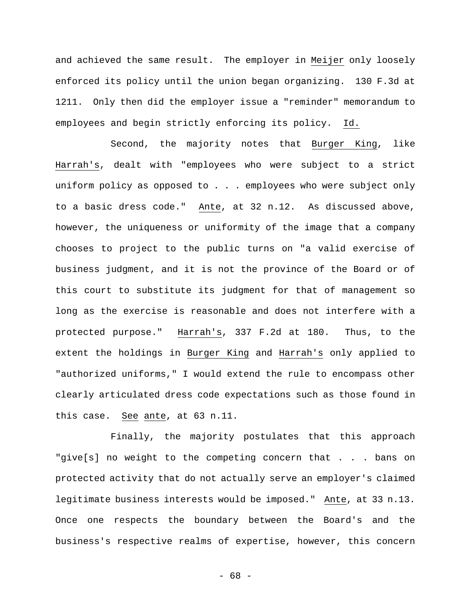and achieved the same result. The employer in Meijer only loosely enforced its policy until the union began organizing. 130 F.3d at 1211. Only then did the employer issue a "reminder" memorandum to employees and begin strictly enforcing its policy. Id.

Second, the majority notes that Burger King, like Harrah's, dealt with "employees who were subject to a strict uniform policy as opposed to . . . employees who were subject only to a basic dress code." Ante, at 32 n.12. As discussed above, however, the uniqueness or uniformity of the image that a company chooses to project to the public turns on "a valid exercise of business judgment, and it is not the province of the Board or of this court to substitute its judgment for that of management so long as the exercise is reasonable and does not interfere with a protected purpose." Harrah's, 337 F.2d at 180. Thus, to the extent the holdings in Burger King and Harrah's only applied to "authorized uniforms," I would extend the rule to encompass other clearly articulated dress code expectations such as those found in this case. See ante, at 63 n.11.

Finally, the majority postulates that this approach "give[s] no weight to the competing concern that . . . bans on protected activity that do not actually serve an employer's claimed legitimate business interests would be imposed." Ante, at 33 n.13. Once one respects the boundary between the Board's and the business's respective realms of expertise, however, this concern

- 68 -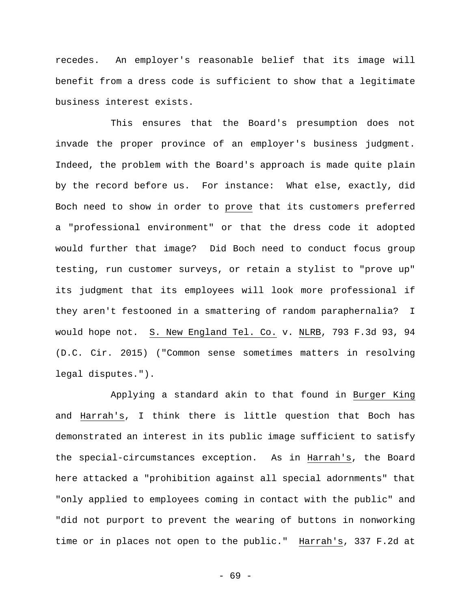recedes. An employer's reasonable belief that its image will benefit from a dress code is sufficient to show that a legitimate business interest exists.

This ensures that the Board's presumption does not invade the proper province of an employer's business judgment. Indeed, the problem with the Board's approach is made quite plain by the record before us. For instance: What else, exactly, did Boch need to show in order to prove that its customers preferred a "professional environment" or that the dress code it adopted would further that image? Did Boch need to conduct focus group testing, run customer surveys, or retain a stylist to "prove up" its judgment that its employees will look more professional if they aren't festooned in a smattering of random paraphernalia? I would hope not. S. New England Tel. Co. v. NLRB, 793 F.3d 93, 94 (D.C. Cir. 2015) ("Common sense sometimes matters in resolving legal disputes.").

Applying a standard akin to that found in Burger King and Harrah's, I think there is little question that Boch has demonstrated an interest in its public image sufficient to satisfy the special-circumstances exception. As in Harrah's, the Board here attacked a "prohibition against all special adornments" that "only applied to employees coming in contact with the public" and "did not purport to prevent the wearing of buttons in nonworking time or in places not open to the public." Harrah's, 337 F.2d at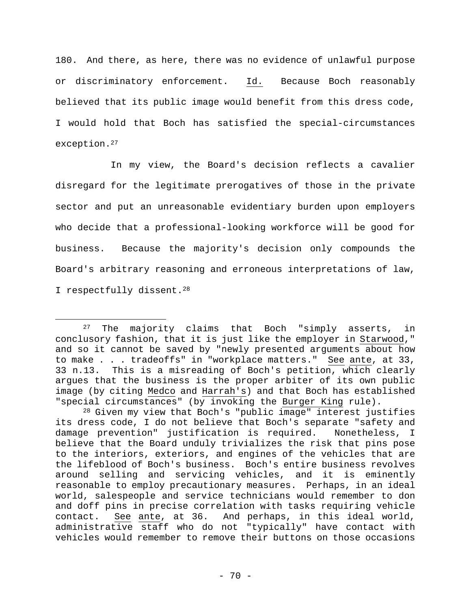180. And there, as here, there was no evidence of unlawful purpose or discriminatory enforcement. Id. Because Boch reasonably believed that its public image would benefit from this dress code, I would hold that Boch has satisfied the special-circumstances exception.27

In my view, the Board's decision reflects a cavalier disregard for the legitimate prerogatives of those in the private sector and put an unreasonable evidentiary burden upon employers who decide that a professional-looking workforce will be good for business. Because the majority's decision only compounds the Board's arbitrary reasoning and erroneous interpretations of law, I respectfully dissent.28

1

<sup>27</sup> The majority claims that Boch "simply asserts, in conclusory fashion, that it is just like the employer in Starwood," and so it cannot be saved by "newly presented arguments about how to make . . . tradeoffs" in "workplace matters." See ante, at 33, 33 n.13. This is a misreading of Boch's petition, which clearly argues that the business is the proper arbiter of its own public image (by citing Medco and Harrah's) and that Boch has established "special circumstances" (by invoking the Burger King rule).

<sup>28</sup> Given my view that Boch's "public image" interest justifies its dress code, I do not believe that Boch's separate "safety and damage prevention" justification is required. Nonetheless, I believe that the Board unduly trivializes the risk that pins pose to the interiors, exteriors, and engines of the vehicles that are the lifeblood of Boch's business. Boch's entire business revolves around selling and servicing vehicles, and it is eminently reasonable to employ precautionary measures. Perhaps, in an ideal world, salespeople and service technicians would remember to don and doff pins in precise correlation with tasks requiring vehicle contact. See ante, at 36. And perhaps, in this ideal world, administrative staff who do not "typically" have contact with vehicles would remember to remove their buttons on those occasions